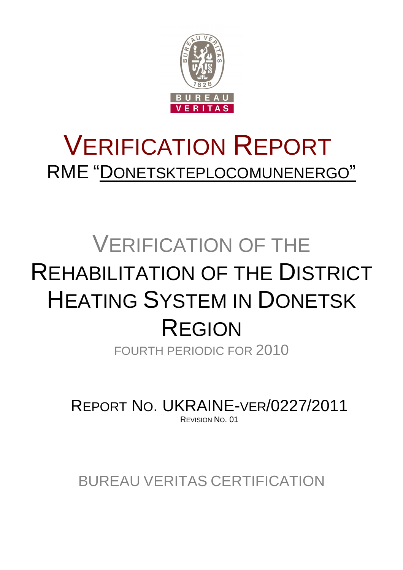

# VERIFICATION REPORT RME "DONETSKTEPLOCOMUNENERGO"

# VERIFICATION OF THE REHABILITATION OF THE DISTRICT HEATING SYSTEM IN DONETSK REGION

FOURTH PERIODIC FOR 2010

REPORT NO. UKRAINE-VER/0227/2011 REVISION NO. 01

BUREAU VERITAS CERTIFICATION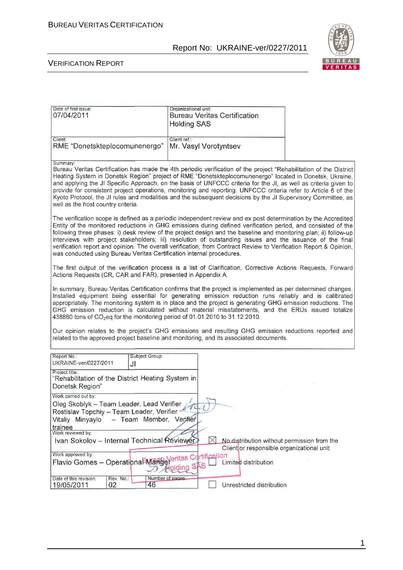

| Date of first issue:                                                                     | Organizational unit:                                                                                                                                                                                                           |
|------------------------------------------------------------------------------------------|--------------------------------------------------------------------------------------------------------------------------------------------------------------------------------------------------------------------------------|
| 07/04/2011                                                                               | <b>Bureau Veritas Certification</b>                                                                                                                                                                                            |
|                                                                                          | <b>Holding SAS</b>                                                                                                                                                                                                             |
| Client:                                                                                  | Client ref.:                                                                                                                                                                                                                   |
| RME "Donetskteplocomunenergo"                                                            | Mr. Vasyl Vorotyntsev                                                                                                                                                                                                          |
|                                                                                          |                                                                                                                                                                                                                                |
| Summary:                                                                                 |                                                                                                                                                                                                                                |
|                                                                                          | Bureau Veritas Certification has made the 4th periodic verification of the project "Rehabilitation of the District<br>Heating System in Donetsk Region" project of RME "Donetskteplocomunenergo" located in Donetsk, Ukraine,  |
|                                                                                          | and applying the JI Specific Approach, on the basis of UNFCCC criteria for the JI, as well as criteria given to                                                                                                                |
|                                                                                          | provide for consistent project operations, monitoring and reporting. UNFCCC criteria refer to Article 6 of the<br>Kyoto Protocol, the JI rules and modalities and the subsequent decisions by the JI Supervisory Committee, as |
| well as the host country criteria.                                                       |                                                                                                                                                                                                                                |
|                                                                                          |                                                                                                                                                                                                                                |
|                                                                                          | The verification scope is defined as a periodic independent review and ex post determination by the Accredited<br>Entity of the monitored reductions in GHG emissions during defined verification period, and consisted of the |
|                                                                                          | following three phases: i) desk review of the project design and the baseline and monitoring plan; ii) follow-up                                                                                                               |
|                                                                                          | interviews with project stakeholders; iii) resolution of outstanding issues and the issuance of the final                                                                                                                      |
| was conducted using Bureau Veritas Certification internal procedures.                    | verification report and opinion. The overall verification, from Contract Review to Verification Report & Opinion,                                                                                                              |
|                                                                                          |                                                                                                                                                                                                                                |
|                                                                                          | The first output of the verification process is a list of Clarification, Corrective Actions Requests, Forward                                                                                                                  |
| Actions Requests (CR, CAR and FAR), presented in Appendix A.                             |                                                                                                                                                                                                                                |
|                                                                                          | In summary, Bureau Veritas Certification confirms that the project is implemented as per determined changes.                                                                                                                   |
|                                                                                          | Installed equipment being essential for generating emission reduction runs reliably and is calibrated                                                                                                                          |
|                                                                                          | appropriately. The monitoring system is in place and the project is generating GHG emission reductions. The<br>GHG emission reduction is calculated without material misstatements, and the ERUs issued totalize               |
| 438860 tons of CO <sub>2</sub> eq for the monitoring period of 01.01.2010 to 31.12.2010. |                                                                                                                                                                                                                                |
|                                                                                          |                                                                                                                                                                                                                                |
|                                                                                          | Our opinion relates to the project's GHG emissions and resulting GHG emission reductions reported and<br>related to the approved project baseline and monitoring, and its associated documents.                                |
|                                                                                          |                                                                                                                                                                                                                                |
| Report No.:<br>Subject Group:                                                            |                                                                                                                                                                                                                                |
| UKRAINE-ver/0227/2011<br>JI                                                              |                                                                                                                                                                                                                                |
| Project title:<br>"Rehabilitation of the District Heating System in                      |                                                                                                                                                                                                                                |
| Donetsk Region"                                                                          |                                                                                                                                                                                                                                |
| Work carried out by:                                                                     |                                                                                                                                                                                                                                |
| Oleg Skoblyk - Team Leader, Lead Verifier                                                |                                                                                                                                                                                                                                |
| Rostislav Topchiy - Team Leader, Verifier                                                |                                                                                                                                                                                                                                |
| - Team Member, Verifier<br>Vitaliy Minyaylo                                              |                                                                                                                                                                                                                                |
| trainee<br>Work reviewed by:                                                             |                                                                                                                                                                                                                                |
| Ivan Sokolov - Internal Technical Reviewer                                               | No distribution without permission from the                                                                                                                                                                                    |
| Work approved by:                                                                        | Client or responsible organizational unit                                                                                                                                                                                      |
| Flavio Gomes - Operational Manger                                                        | <b><i><u>Ieritas Certification</u></i></b><br>Limited distribution                                                                                                                                                             |
|                                                                                          | Holding                                                                                                                                                                                                                        |
| Date of this revision:<br>Rev. No.:<br>Number of pages:                                  |                                                                                                                                                                                                                                |
| 46<br>19/05/2011<br>02                                                                   | Unrestricted distribution                                                                                                                                                                                                      |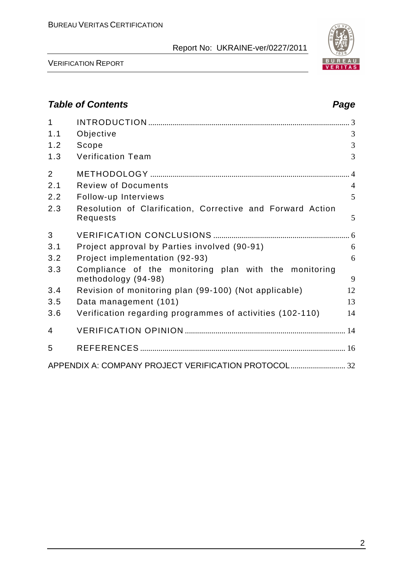

VERIFICATION REPORT

# **Table of Contents Page 2018**

| $\mathbf{1}$   |                                                                              |                |
|----------------|------------------------------------------------------------------------------|----------------|
| 1.1            | Objective                                                                    | 3              |
| 1.2            | Scope                                                                        | $\overline{3}$ |
| 1.3            | <b>Verification Team</b>                                                     | 3              |
| $\overline{2}$ |                                                                              |                |
| 2.1            | <b>Review of Documents</b>                                                   | $\overline{4}$ |
| 2.2            | Follow-up Interviews                                                         | 5              |
| 2.3            | Resolution of Clarification, Corrective and Forward Action<br>Requests       | 5              |
| $\overline{3}$ |                                                                              |                |
| 3.1            | Project approval by Parties involved (90-91)                                 | 6              |
| 3.2            | Project implementation (92-93)                                               | 6              |
| 3.3            | Compliance of the monitoring plan with the monitoring<br>methodology (94-98) | 9              |
| 3.4            | Revision of monitoring plan (99-100) (Not applicable)                        | 12             |
| 3.5            | Data management (101)                                                        | 13             |
| 3.6            | Verification regarding programmes of activities (102-110)                    | 14             |
| 4              |                                                                              |                |
| 5              |                                                                              |                |
|                |                                                                              |                |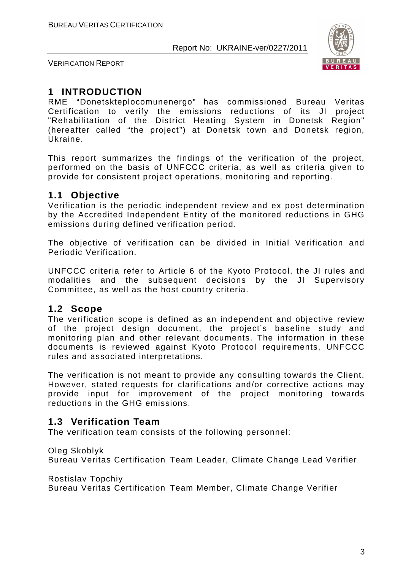

VERIFICATION REPORT

# **1 INTRODUCTION**

RME "Donetskteplocomunenergo" has commissioned Bureau Veritas Certification to verify the emissions reductions of its JI project "Rehabilitation of the District Heating System in Donetsk Region" (hereafter called "the project") at Donetsk town and Donetsk region, Ukraine.

This report summarizes the findings of the verification of the project, performed on the basis of UNFCCC criteria, as well as criteria given to provide for consistent project operations, monitoring and reporting.

## **1.1 Objective**

Verification is the periodic independent review and ex post determination by the Accredited Independent Entity of the monitored reductions in GHG emissions during defined verification period.

The objective of verification can be divided in Initial Verification and Periodic Verification.

UNFCCC criteria refer to Article 6 of the Kyoto Protocol, the JI rules and modalities and the subsequent decisions by the JI Supervisory Committee, as well as the host country criteria.

## **1.2 Scope**

The verification scope is defined as an independent and objective review of the project design document, the project's baseline study and monitoring plan and other relevant documents. The information in these documents is reviewed against Kyoto Protocol requirements, UNFCCC rules and associated interpretations.

The verification is not meant to provide any consulting towards the Client. However, stated requests for clarifications and/or corrective actions may provide input for improvement of the project monitoring towards reductions in the GHG emissions.

# **1.3 Verification Team**

The verification team consists of the following personnel:

Oleg Skoblyk

Bureau Veritas Certification Team Leader, Climate Change Lead Verifier

Rostislav Topchiy

Bureau Veritas Certification Team Member, Climate Change Verifier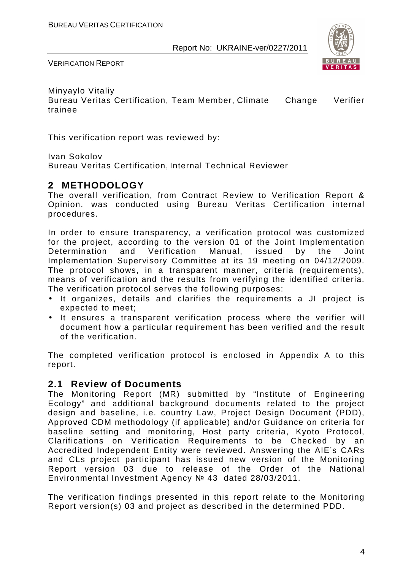

VERIFICATION REPORT

Minyaylo Vitaliy

Bureau Veritas Certification, Team Member, Climate Change Verifier trainee

This verification report was reviewed by:

Ivan Sokolov

Bureau Veritas Certification, Internal Technical Reviewer

# **2 METHODOLOGY**

The overall verification, from Contract Review to Verification Report & Opinion, was conducted using Bureau Veritas Certification internal procedures.

In order to ensure transparency, a verification protocol was customized for the project, according to the version 01 of the Joint Implementation Determination and Verification Manual, issued by the Joint Implementation Supervisory Committee at its 19 meeting on 04/12/2009. The protocol shows, in a transparent manner, criteria (requirements), means of verification and the results from verifying the identified criteria. The verification protocol serves the following purposes:

- It organizes, details and clarifies the requirements a JI project is expected to meet;
- It ensures a transparent verification process where the verifier will document how a particular requirement has been verified and the result of the verification.

The completed verification protocol is enclosed in Appendix A to this report.

## **2.1 Review of Documents**

The Monitoring Report (MR) submitted by "Institute of Engineering Ecology" and additional background documents related to the project design and baseline, i.e. country Law, Project Design Document (PDD), Approved CDM methodology (if applicable) and/or Guidance on criteria for baseline setting and monitoring, Host party criteria, Kyoto Protocol, Clarifications on Verification Requirements to be Checked by an Accredited Independent Entity were reviewed. Answering the AIE's CARs and CLs project participant has issued new version of the Monitoring Report version 03 due to release of the Order of the National Environmental Investment Agency № 43 dated 28/03/2011.

The verification findings presented in this report relate to the Monitoring Report version(s) 03 and project as described in the determined PDD.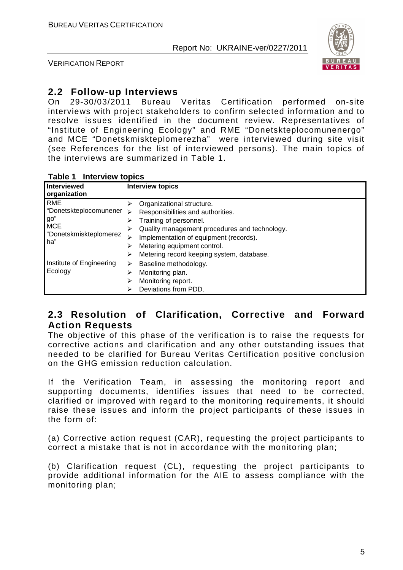

VERIFICATION REPORT

# **2.2 Follow-up Interviews**

On 29-30/03/2011 Bureau Veritas Certification performed on-site interviews with project stakeholders to confirm selected information and to resolve issues identified in the document review. Representatives of "Institute of Engineering Ecology" and RME "Donetskteplocomunenergo" and MCE "Donetskmiskteplomerezha" were interviewed during site visit (see References for the list of interviewed persons). The main topics of the interviews are summarized in Table 1.

| Table 1 | <b>Interview topics</b> |  |
|---------|-------------------------|--|
|---------|-------------------------|--|

| <b>HINDI YIVII WUNIVO</b><br><b>Interviewed</b><br>organization                            | <b>Interview topics</b>                                                                                                                                                                                                                                         |
|--------------------------------------------------------------------------------------------|-----------------------------------------------------------------------------------------------------------------------------------------------------------------------------------------------------------------------------------------------------------------|
| <b>RME</b><br>"Donetskteplocomunener<br>go"<br><b>MCE</b><br>"Donetskmiskteplomerez<br>ha" | Organizational structure.<br>Responsibilities and authorities.<br>Training of personnel.<br>Quality management procedures and technology.<br>Implementation of equipment (records).<br>Metering equipment control.<br>Metering record keeping system, database. |
| Institute of Engineering<br>Ecology                                                        | Baseline methodology.<br>Monitoring plan.<br>Monitoring report.<br>Deviations from PDD.                                                                                                                                                                         |

## **2.3 Resolution of Clarification, Corrective and Forward Action Requests**

The objective of this phase of the verification is to raise the requests for corrective actions and clarification and any other outstanding issues that needed to be clarified for Bureau Veritas Certification positive conclusion on the GHG emission reduction calculation.

If the Verification Team, in assessing the monitoring report and supporting documents, identifies issues that need to be corrected, clarified or improved with regard to the monitoring requirements, it should raise these issues and inform the project participants of these issues in the form of:

(a) Corrective action request (CAR), requesting the project participants to correct a mistake that is not in accordance with the monitoring plan;

(b) Clarification request (CL), requesting the project participants to provide additional information for the AIE to assess compliance with the monitoring plan;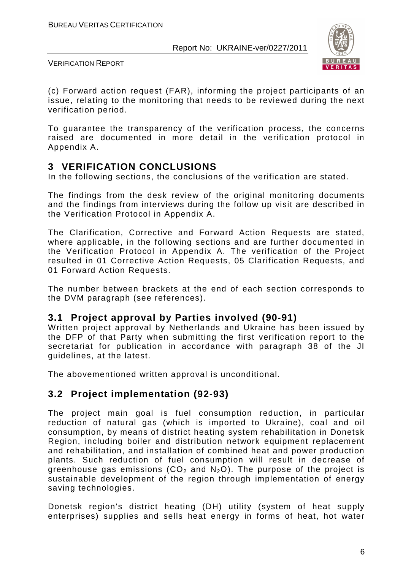

VERIFICATION REPORT

(c) Forward action request (FAR), informing the project participants of an issue, relating to the monitoring that needs to be reviewed during the next verification period.

To guarantee the transparency of the verification process, the concerns raised are documented in more detail in the verification protocol in Appendix A.

# **3 VERIFICATION CONCLUSIONS**

In the following sections, the conclusions of the verification are stated.

The findings from the desk review of the original monitoring documents and the findings from interviews during the follow up visit are described in the Verification Protocol in Appendix A.

The Clarification, Corrective and Forward Action Requests are stated, where applicable, in the following sections and are further documented in the Verification Protocol in Appendix A. The verification of the Project resulted in 01 Corrective Action Requests, 05 Clarification Requests, and 01 Forward Action Requests.

The number between brackets at the end of each section corresponds to the DVM paragraph (see references).

## **3.1 Project approval by Parties involved (90-91)**

Written project approval by Netherlands and Ukraine has been issued by the DFP of that Party when submitting the first verification report to the secretariat for publication in accordance with paragraph 38 of the JI guidelines, at the latest.

The abovementioned written approval is unconditional.

# **3.2 Project implementation (92-93)**

The project main goal is fuel consumption reduction, in particular reduction of natural gas (which is imported to Ukraine), coal and oil consumption, by means of district heating system rehabilitation in Donetsk Region, including boiler and distribution network equipment replacement and rehabilitation, and installation of combined heat and power production plants. Such reduction of fuel consumption will result in decrease of greenhouse gas emissions (CO<sub>2</sub> and N<sub>2</sub>O). The purpose of the project is sustainable development of the region through implementation of energy saving technologies.

Donetsk region's district heating (DH) utility (system of heat supply enterprises) supplies and sells heat energy in forms of heat, hot water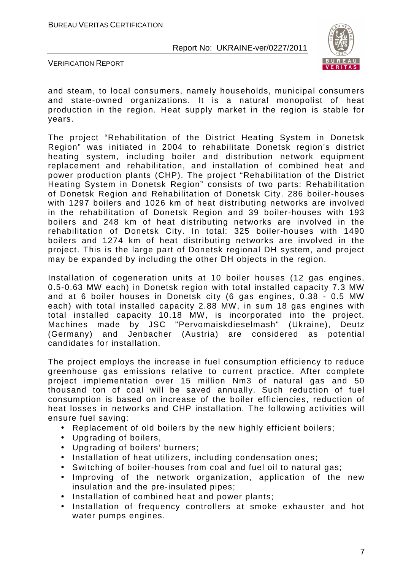

VERIFICATION REPORT

and steam, to local consumers, namely households, municipal consumers and state-owned organizations. It is a natural monopolist of heat production in the region. Heat supply market in the region is stable for years.

The project "Rehabilitation of the District Heating System in Donetsk Region" was initiated in 2004 to rehabilitate Donetsk region's district heating system, including boiler and distribution network equipment replacement and rehabilitation, and installation of combined heat and power production plants (CHP). The project "Rehabilitation of the District Heating System in Donetsk Region" consists of two parts: Rehabilitation of Donetsk Region and Rehabilitation of Donetsk City. 286 boiler-houses with 1297 boilers and 1026 km of heat distributing networks are involved in the rehabilitation of Donetsk Region and 39 boiler-houses with 193 boilers and 248 km of heat distributing networks are involved in the rehabilitation of Donetsk City. In total: 325 boiler-houses with 1490 boilers and 1274 km of heat distributing networks are involved in the project. This is the large part of Donetsk regional DH system, and project may be expanded by including the other DH objects in the region.

Installation of cogeneration units at 10 boiler houses (12 gas engines, 0.5-0.63 MW each) in Donetsk region with total installed capacity 7.3 MW and at 6 boiler houses in Donetsk city (6 gas engines, 0.38 - 0.5 MW each) with total installed capacity 2.88 MW, in sum 18 gas engines with total installed capacity 10.18 MW, is incorporated into the project. Machines made by JSC "Pervomaiskdieselmash" (Ukraine), Deutz (Germany) and Jenbacher (Austria) are considered as potential candidates for installation.

The project employs the increase in fuel consumption efficiency to reduce greenhouse gas emissions relative to current practice. After complete project implementation over 15 million Nm3 of natural gas and 50 thousand ton of coal will be saved annually. Such reduction of fuel consumption is based on increase of the boiler efficiencies, reduction of heat losses in networks and CHP installation. The following activities will ensure fuel saving:

- Replacement of old boilers by the new highly efficient boilers;
- Upgrading of boilers,
- Upgrading of boilers' burners;
- Installation of heat utilizers, including condensation ones;
- Switching of boiler-houses from coal and fuel oil to natural gas;
- Improving of the network organization, application of the new insulation and the pre-insulated pipes;
- Installation of combined heat and power plants;
- Installation of frequency controllers at smoke exhauster and hot water pumps engines.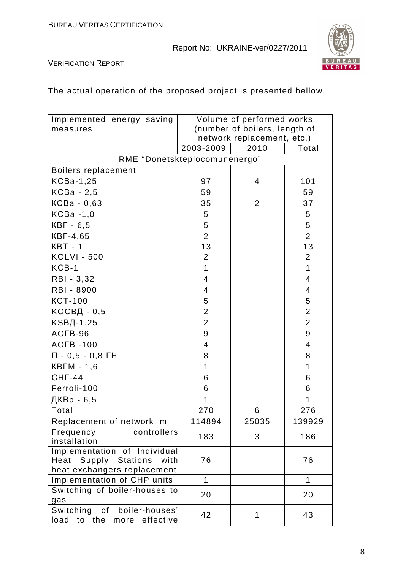

VERIFICATION REPORT

# The actual operation of the proposed project is presented bellow.

| Implemented energy saving                                    | Volume of performed works     |                            |                |  |  |
|--------------------------------------------------------------|-------------------------------|----------------------------|----------------|--|--|
| measures                                                     | (number of boilers, length of |                            |                |  |  |
|                                                              |                               | network replacement, etc.) |                |  |  |
|                                                              | 2003-2009                     | 2010                       | Total          |  |  |
| RME "Donetskteplocomunenergo"                                |                               |                            |                |  |  |
| <b>Boilers replacement</b>                                   |                               |                            |                |  |  |
| KCBa-1,25                                                    | 97                            | $\overline{4}$             | 101            |  |  |
| KCBa - 2,5                                                   | 59                            |                            | 59             |  |  |
| KCBa - 0,63                                                  | 35                            | $\overline{2}$             | 37             |  |  |
| $KCBa -1,0$                                                  | 5                             |                            | 5              |  |  |
| $KBT - 6,5$                                                  | 5                             |                            | 5              |  |  |
| KBF-4,65                                                     | $\overline{2}$                |                            | $\overline{2}$ |  |  |
| $KBT - 1$                                                    | 13                            |                            | 13             |  |  |
| <b>KOLVI - 500</b>                                           | $\overline{2}$                |                            | $\overline{2}$ |  |  |
| KCB-1                                                        | 1                             |                            | 1              |  |  |
| RBI - 3,32                                                   | 4                             |                            | 4              |  |  |
| RBI - 8900                                                   | 4                             |                            | 4              |  |  |
| <b>KCT-100</b>                                               | 5                             |                            | 5              |  |  |
| КОСВД - 0,5                                                  | $\overline{2}$                |                            | $\overline{2}$ |  |  |
| КSBД-1,25                                                    | $\overline{2}$                |                            | $\overline{2}$ |  |  |
| AOFB-96                                                      | 9                             |                            | 9              |  |  |
| <b>AOFB -100</b>                                             | 4                             |                            | $\overline{4}$ |  |  |
| $\Pi - 0, 5 - 0, 8$ $\Gamma$ H                               | 8                             |                            | 8              |  |  |
| <b>KBFM - 1,6</b>                                            | $\mathbf 1$                   |                            | 1              |  |  |
| $CHF-44$                                                     | 6                             |                            | 6              |  |  |
| Ferroli-100                                                  | 6                             |                            | 6              |  |  |
| ДКВр - 6,5                                                   | 1                             |                            | 1              |  |  |
| Total                                                        | 270                           | 6                          | 276            |  |  |
| Replacement of network, m                                    | 114894                        | 25035                      | 139929         |  |  |
| controllers<br>Frequency                                     | 183                           | 3                          | 186            |  |  |
| installation                                                 |                               |                            |                |  |  |
| Implementation of Individual                                 |                               |                            |                |  |  |
| Supply Stations<br>Heat<br>with                              | 76                            |                            | 76             |  |  |
| heat exchangers replacement                                  | $\mathbf{1}$                  |                            | 1              |  |  |
| Implementation of CHP units<br>Switching of boiler-houses to |                               |                            |                |  |  |
| gas                                                          | 20                            |                            | 20             |  |  |
| Switching of<br>boiler-houses'                               |                               |                            |                |  |  |
| effective<br>load<br>to the<br>more                          | 42                            | 1                          | 43             |  |  |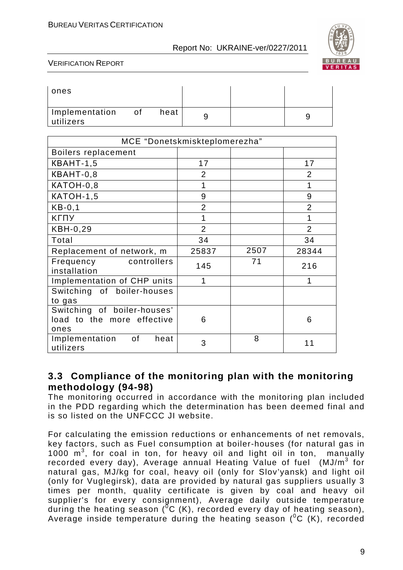

#### VERIFICATION REPORT

| ones                        |     |      |  |  |
|-----------------------------|-----|------|--|--|
| Implementation<br>utilizers | .of | heat |  |  |

| MCE "Donetskmiskteplomerezha"                                     |                |      |                |  |
|-------------------------------------------------------------------|----------------|------|----------------|--|
| Boilers replacement                                               |                |      |                |  |
| KBAHT-1,5                                                         | 17             |      | 17             |  |
| KBAHT-0,8                                                         | $\overline{2}$ |      | 2              |  |
| KATOH-0,8                                                         | 1              |      | 1              |  |
| KATOH-1,5                                                         | 9              |      | 9              |  |
| $KB-0,1$                                                          | $\overline{2}$ |      | $\overline{2}$ |  |
| КГПУ                                                              | 1              |      | 1              |  |
| KBH-0,29                                                          | $\overline{2}$ |      | $\overline{2}$ |  |
| Total                                                             | 34             |      | 34             |  |
| Replacement of network, m                                         | 25837          | 2507 | 28344          |  |
| Frequency<br>controllers<br>installation                          | 145            | 71   | 216            |  |
| Implementation of CHP units                                       | 1              |      | 1              |  |
| Switching of boiler-houses<br>to gas                              |                |      |                |  |
| Switching of boiler-houses'<br>load to the more effective<br>ones | 6              |      | 6              |  |
| of<br>Implementation<br>heat<br>utilizers                         | 3              | 8    | 11             |  |

## **3.3 Compliance of the monitoring plan with the monitoring methodology (94-98)**

The monitoring occurred in accordance with the monitoring plan included in the PDD regarding which the determination has been deemed final and is so listed on the UNFCCC JI website.

For calculating the emission reductions or enhancements of net removals, key factors, such as Fuel consumption at boiler-houses (for natural gas in 1000  $m^3$ , for coal in ton, for heavy oil and light oil in ton, manually recorded every day), Average annual Heating Value of fuel (MJ/m<sup>3</sup> for natural gas, MJ/kg for coal, heavy oil (only for Slov'yansk) and light oil (only for Vuglegirsk), data are provided by natural gas suppliers usually 3 times per month, quality certificate is given by coal and heavy oil supplier's for every consignment), Average daily outside temperature during the heating season ( ${}^{\circ}C$  (K), recorded every day of heating season), Average inside temperature during the heating season  $(^0C)$  (K), recorded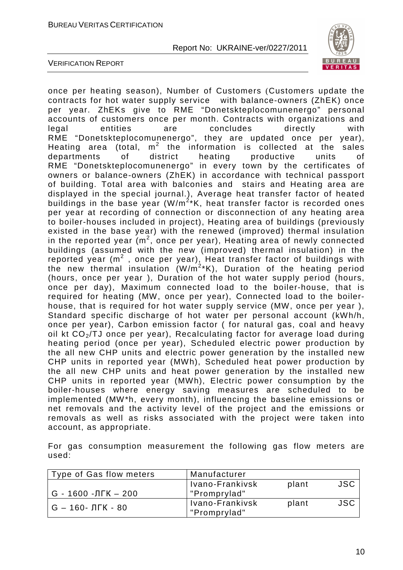

VERIFICATION REPORT

once per heating season), Number of Customers (Customers update the contracts for hot water supply service with balance-owners (ZhEK) once per year. ZhEKs give to RME "Donetskteplocomunenergo" personal accounts of customers once per month. Contracts with organizations and legal entities are concludes directly with RME "Donetskteplocomunenergo", they are updated once per year), Heating area (total,  $m^2$  the information is collected at the sales departments of district heating productive units of RME "Donetskteplocomunenergo" in every town by the certificates of owners or balance-owners (ZhEK) in accordance with technical passport of building. Total area with balconies and stairs and Heating area are displayed in the special journal.), Average heat transfer factor of heated buildings in the base year (W/m<sup>2\*</sup>K, heat transfer factor is recorded ones per year at recording of connection or disconnection of any heating area to boiler-houses included in project), Heating area of buildings (previously existed in the base year) with the renewed (improved) thermal insulation in the reported year (m<sup>2</sup>, once per year), Heating area of newly connected buildings (assumed with the new (improved) thermal insulation) in the reported year ( $m^2$ , once per year), Heat transfer factor of buildings with the new thermal insulation  $(W/m^{2*}K)$ , Duration of the heating period (hours, once per year ), Duration of the hot water supply period (hours, once per day), Maximum connected load to the boiler-house, that is required for heating (MW, once per year), Connected load to the boilerhouse, that is required for hot water supply service (MW, once per year ), Standard specific discharge of hot water per personal account (kWh/h, once per year), Carbon emission factor ( for natural gas, coal and heavy oil kt  $CO<sub>2</sub>/TJ$  once per year), Recalculating factor for average load during heating period (once per year), Scheduled electric power production by the all new CHP units and electric power generation by the installed new CHP units in reported year (MWh), Scheduled heat power production by the all new CHP units and heat power generation by the installed new CHP units in reported year (MWh), Electric power consumption by the boiler-houses where energy saving measures are scheduled to be implemented (MW\*h, every month), influencing the baseline emissions or net removals and the activity level of the project and the emissions or removals as well as risks associated with the project were taken into account, as appropriate.

For gas consumption measurement the following gas flow meters are used:

| Type of Gas flow meters | Manufacturer    |       |            |
|-------------------------|-----------------|-------|------------|
|                         | Ivano-Frankivsk | plant | <b>JSC</b> |
| G - 1600 -ЛГК — 200     | "Promprylad"    |       |            |
| I G – 160- ЛГК - 80     | Ivano-Frankivsk | plant | <b>JSC</b> |
|                         | "Promprylad"    |       |            |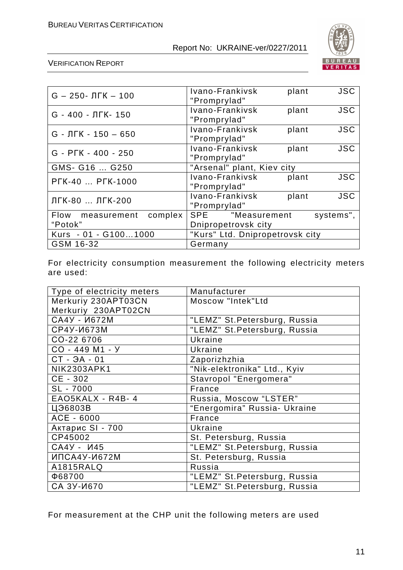

VERIFICATION REPORT

| $G - 250  \Pi$ FK $- 100$ | Ivano-Frankivsk<br>plant<br>"Promprylad" |       | <b>JSC</b> |
|---------------------------|------------------------------------------|-------|------------|
| G - 400 - ЛГК- 150        | Ivano-Frankivsk<br>"Promprylad"          | plant | <b>JSC</b> |
| $G - JTK - 150 - 650$     | Ivano-Frankivsk<br>"Promprylad"          | plant | <b>JSC</b> |
| G - PFK - 400 - 250       | Ivano-Frankivsk<br>"Promprylad"          | plant | <b>JSC</b> |
| GMS- G16  G250            | "Arsenal" plant, Kiev city               |       |            |
| PTK-40  PTK-1000          | Ivano-Frankivsk<br>plant<br>"Promprylad" |       |            |
| ЛГК-80  ЛГК-200           | Ivano-Frankivsk<br>plant<br>"Promprylad" |       | <b>JSC</b> |
| Flow measurement complex  | SPE "Measurement<br>systems",            |       |            |
| "Potok"                   | Dnipropetrovsk city                      |       |            |
| Kurs - 01 - G1001000      | "Kurs" Ltd. Dnipropetrovsk city          |       |            |
| GSM 16-32                 | Germany                                  |       |            |

For electricity consumption measurement the following electricity meters are used:

| Type of electricity meters | Manufacturer                 |
|----------------------------|------------------------------|
| Merkuriy 230APT03CN        | Moscow "Intek"Ltd            |
| Merkuriy 230APT02CN        |                              |
| CA4Y - <i>M</i> 672M       | "LEMZ" St.Petersburg, Russia |
| CP4Y-И673M                 | "LEMZ" St.Petersburg, Russia |
| CO-22 6706                 | Ukraine                      |
| CO - 449 M1 - Y            | Ukraine                      |
| CT - 3A - 01               | Zaporizhzhia                 |
| <b>NIK2303APK1</b>         | "Nik-elektronika" Ltd., Kyiv |
| CE - 302                   | Stavropol "Energomera"       |
| SL - 7000                  | France                       |
| EAO5KALX - R4B-4           | Russia, Moscow "LSTER"       |
| ЦЭ6803В                    | "Energomira" Russia- Ukraine |
| ACE - 6000                 | France                       |
| Актарис SI - 700           | Ukraine                      |
| CP45002                    | St. Petersburg, Russia       |
| CA4Y - <i>V</i> 145        | "LEMZ" St.Petersburg, Russia |
| <b>ИПСА4У-И672М</b>        | St. Petersburg, Russia       |
| A1815RALQ                  | Russia                       |
| Φ68700                     | "LEMZ" St.Petersburg, Russia |
| CA 3Y-0670                 | "LEMZ" St.Petersburg, Russia |

For measurement at the CHP unit the following meters are used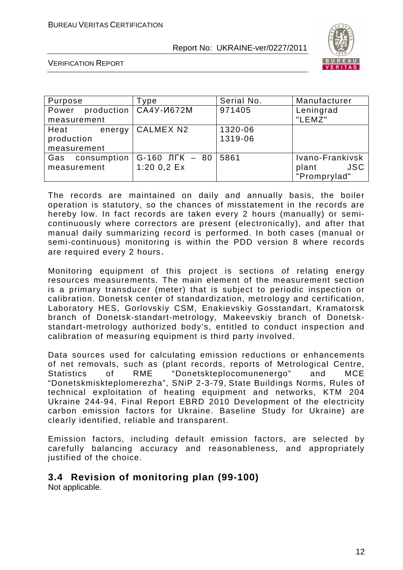

VERIFICATION REPORT

| Purpose            | Type                    | Serial No. | Manufacturer    |
|--------------------|-------------------------|------------|-----------------|
| Power              | production   CA4Y-И672M | 971405     | Leningrad       |
| measurement        |                         |            | "LEMZ"          |
| Heat<br>energy     | <b>CALMEX N2</b>        | 1320-06    |                 |
| production         |                         | 1319-06    |                 |
| measurement        |                         |            |                 |
| consumption<br>Gas | G-160 ЛГК - 80          | 5861       | Ivano-Frankivsk |
| measurement        | $1:200,2$ Ex            |            | JSC<br>plant    |
|                    |                         |            | "Promprylad"    |

The records are maintained on daily and annually basis, the boiler operation is statutory, so the chances of misstatement in the records are hereby low. In fact records are taken every 2 hours (manually) or semicontinuously where correctors are present (electronically), and after that manual daily summarizing record is performed. In both cases (manual or semi-continuous) monitoring is within the PDD version 8 where records are required every 2 hours.

Monitoring equipment of this project is sections of relating energy resources measurements. The main element of the measurement section is a primary transducer (meter) that is subject to periodic inspection or calibration. Donetsk center of standardization, metrology and certification, Laboratory HES, Gorlovskiy CSM, Enakievskiy Gosstandart, Kramatorsk branch of Donetsk-standart-metrology, Makeevskiy branch of Donetskstandart-metrology authorized body's, entitled to conduct inspection and calibration of measuring equipment is third party involved.

Data sources used for calculating emission reductions or enhancements of net removals, such as (plant records, reports of Metrological Centre, Statistics of RME "Donetskteplocomunenergo" and MCE "Donetskmiskteplomerezha", SNiP 2-3-79, State Buildings Norms, Rules of technical exploitation of heating equipment and networks, KTM 204 Ukraine 244-94, Final Report EBRD 2010 Development of the electricity carbon emission factors for Ukraine. Baseline Study for Ukraine) are clearly identified, reliable and transparent.

Emission factors, including default emission factors, are selected by carefully balancing accuracy and reasonableness, and appropriately justified of the choice.

## **3.4 Revision of monitoring plan (99-100)**

Not applicable.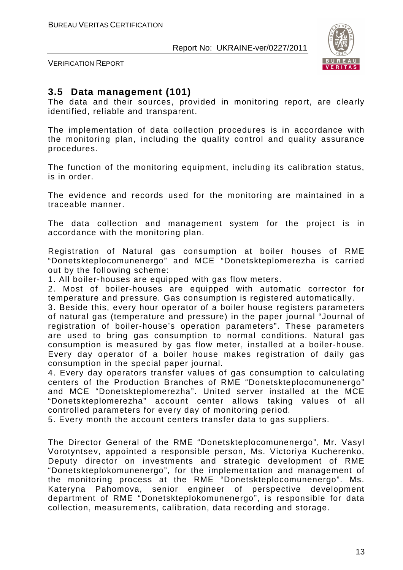

VERIFICATION REPORT

## **3.5 Data management (101)**

The data and their sources, provided in monitoring report, are clearly identified, reliable and transparent.

The implementation of data collection procedures is in accordance with the monitoring plan, including the quality control and quality assurance procedures.

The function of the monitoring equipment, including its calibration status, is in order.

The evidence and records used for the monitoring are maintained in a traceable manner.

The data collection and management system for the project is in accordance with the monitoring plan.

Registration of Natural gas consumption at boiler houses of RME "Donetskteplocomunenergo" and MCE "Donetskteplomerezha is carried out by the following scheme:

1. All boiler-houses are equipped with gas flow meters.

2. Most of boiler-houses are equipped with automatic corrector for temperature and pressure. Gas consumption is registered automatically.

3. Beside this, every hour operator of a boiler house registers parameters of natural gas (temperature and pressure) in the paper journal "Journal of registration of boiler-house's operation parameters". These parameters are used to bring gas consumption to normal conditions. Natural gas consumption is measured by gas flow meter, installed at a boiler-house. Every day operator of a boiler house makes registration of daily gas consumption in the special paper journal.

4. Every day operators transfer values of gas consumption to calculating centers of the Production Branches of RME "Donetskteplocomunenergo" and MCE "Donetskteplomerezha". United server installed at the MCE "Donetskteplomerezha" account center allows taking values of all controlled parameters for every day of monitoring period.

5. Every month the account centers transfer data to gas suppliers.

The Director General of the RME "Donetskteplocomunenergo", Mr. Vasyl Vorotyntsev, appointed a responsible person, Ms. Victoriya Kucherenko, Deputy director on investments and strategic development of RME "Donetskteplokomunenergo", for the implementation and management of the monitoring process at the RME "Donetskteplocomunenergo". Ms. Kateryna Pahomova, senior engineer of perspective development department of RME "Donetskteplokomunenergo", is responsible for data collection, measurements, calibration, data recording and storage.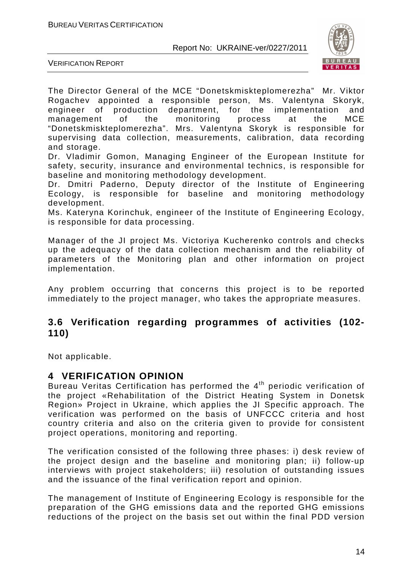

VERIFICATION REPORT

The Director General of the MCE "Donetskmiskteplomerezha" Mr. Viktor Rogachev appointed a responsible person, Ms. Valentyna Skoryk, engineer of production department, for the implementation and management of the monitoring process at the MCE "Donetskmiskteplomerezha". Mrs. Valentyna Skoryk is responsible for supervising data collection, measurements, calibration, data recording and storage.

Dr. Vladimir Gomon, Managing Engineer of the European Institute for safety, security, insurance and environmental technics, is responsible for baseline and monitoring methodology development.

Dr. Dmitri Paderno, Deputy director of the Institute of Engineering Ecology, is responsible for baseline and monitoring methodology development.

Ms. Kateryna Korinchuk, engineer of the Institute of Engineering Ecology, is responsible for data processing.

Manager of the JI project Ms. Victoriya Kucherenko controls and checks up the adequacy of the data collection mechanism and the reliability of parameters of the Monitoring plan and other information on project implementation.

Any problem occurring that concerns this project is to be reported immediately to the project manager, who takes the appropriate measures.

## **3.6 Verification regarding programmes of activities (102- 110)**

Not applicable.

## **4 VERIFICATION OPINION**

Bureau Veritas Certification has performed the 4<sup>th</sup> periodic verification of the project «Rehabilitation of the District Heating System in Donetsk Region» Project in Ukraine, which applies the JI Specific approach. The verification was performed on the basis of UNFCCC criteria and host country criteria and also on the criteria given to provide for consistent project operations, monitoring and reporting.

The verification consisted of the following three phases: i) desk review of the project design and the baseline and monitoring plan; ii) follow-up interviews with project stakeholders; iii) resolution of outstanding issues and the issuance of the final verification report and opinion.

The management of Institute of Engineering Ecology is responsible for the preparation of the GHG emissions data and the reported GHG emissions reductions of the project on the basis set out within the final PDD version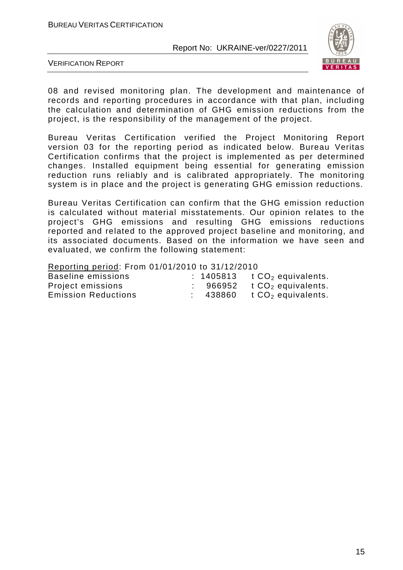

VERIFICATION REPORT

08 and revised monitoring plan. The development and maintenance of records and reporting procedures in accordance with that plan, including the calculation and determination of GHG emission reductions from the project, is the responsibility of the management of the project.

Bureau Veritas Certification verified the Project Monitoring Report version 03 for the reporting period as indicated below. Bureau Veritas Certification confirms that the project is implemented as per determined changes. Installed equipment being essential for generating emission reduction runs reliably and is calibrated appropriately. The monitoring system is in place and the project is generating GHG emission reductions.

Bureau Veritas Certification can confirm that the GHG emission reduction is calculated without material misstatements. Our opinion relates to the project's GHG emissions and resulting GHG emissions reductions reported and related to the approved project baseline and monitoring, and its associated documents. Based on the information we have seen and evaluated, we confirm the following statement:

Reporting period: From 01/01/2010 to 31/12/2010

| Baseline emissions         |  | : $1405813$ t $CO2$ equivalents. |
|----------------------------|--|----------------------------------|
| Project emissions          |  | 966952 $t CO2$ equivalents.      |
| <b>Emission Reductions</b> |  | $438860$ t $CO2$ equivalents.    |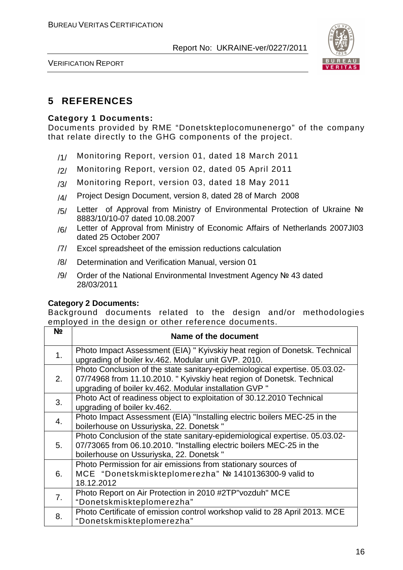

VERIFICATION REPORT

# **5 REFERENCES**

#### **Category 1 Documents:**

Documents provided by RME "Donetskteplocomunenergo" of the company that relate directly to the GHG components of the project.

- /1/ Monitoring Report, version 01, dated 18 March 2011
- /2/ Monitoring Report, version 02, dated 05 April 2011
- /3/ Monitoring Report, version 03, dated 18 Мау 2011
- /4/ Project Design Document, version 8, dated 28 of March 2008
- /5/ Letter of Approval from Ministry of Environmental Protection of Ukraine № 8883/10/10-07 dated 10.08.2007
- /6/ Letter of Approval from Ministry of Economic Affairs of Netherlands 2007JI03 dated 25 October 2007
- /7/ Excel spreadsheet of the emission reductions calculation
- /8/ Determination and Verification Manual, version 01
- /9/ Order of the National Environmental Investment Agency № 43 dated 28/03/2011

#### **Category 2 Documents:**

Background documents related to the design and/or methodologies employed in the design or other reference documents.

| N <sub>2</sub>   | Name of the document                                                                                                                                                                                           |
|------------------|----------------------------------------------------------------------------------------------------------------------------------------------------------------------------------------------------------------|
| 1.               | Photo Impact Assessment (EIA) " Kyivskiy heat region of Donetsk. Technical<br>upgrading of boiler kv.462. Modular unit GVP. 2010.                                                                              |
| 2.               | Photo Conclusion of the state sanitary-epidemiological expertise. 05.03.02-<br>07/74968 from 11.10.2010. "Kyivskiy heat region of Donetsk. Technical<br>upgrading of boiler kv.462. Modular installation GVP " |
| 3.               | Photo Act of readiness object to exploitation of 30.12.2010 Technical<br>upgrading of boiler kv.462.                                                                                                           |
| $\overline{4}$ . | Photo Impact Assessment (EIA) "Installing electric boilers MEC-25 in the<br>boilerhouse on Ussuriyska, 22. Donetsk "                                                                                           |
| 5.               | Photo Conclusion of the state sanitary-epidemiological expertise. 05.03.02-<br>07/73065 from 06.10.2010. "Installing electric boilers MEC-25 in the<br>boilerhouse on Ussuriyska, 22. Donetsk "                |
| 6.               | Photo Permission for air emissions from stationary sources of<br>MCE "Donetskmiskteplomerezha" № 1410136300-9 valid to<br>18.12.2012                                                                           |
| 7.               | Photo Report on Air Protection in 2010 #2TP" vozduh" MCE<br>"Donetskmiskteplomerezha"                                                                                                                          |
| 8.               | Photo Certificate of emission control workshop valid to 28 April 2013. MCE<br>"Donetskmiskteplomerezha"                                                                                                        |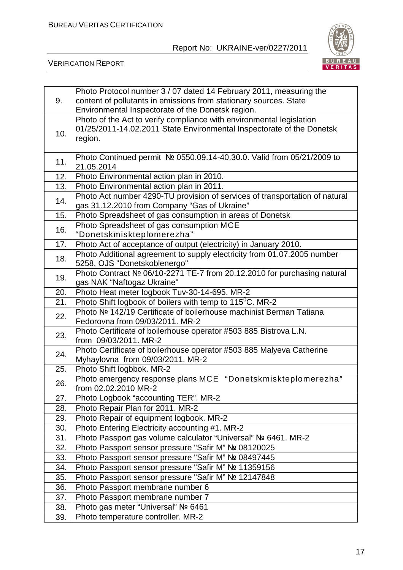

|     | Photo Protocol number 3 / 07 dated 14 February 2011, measuring the          |
|-----|-----------------------------------------------------------------------------|
| 9.  | content of pollutants in emissions from stationary sources. State           |
|     | Environmental Inspectorate of the Donetsk region.                           |
|     | Photo of the Act to verify compliance with environmental legislation        |
|     | 01/25/2011-14.02.2011 State Environmental Inspectorate of the Donetsk       |
| 10. | region.                                                                     |
|     |                                                                             |
|     |                                                                             |
| 11. | Photo Continued permit Nº 0550.09.14-40.30.0. Valid from 05/21/2009 to      |
|     | 21.05.2014                                                                  |
| 12. | Photo Environmental action plan in 2010.                                    |
| 13. | Photo Environmental action plan in 2011.                                    |
| 14. | Photo Act number 4290-TU provision of services of transportation of natural |
|     | gas 31.12.2010 from Company "Gas of Ukraine"                                |
| 15. | Photo Spreadsheet of gas consumption in areas of Donetsk                    |
| 16. | Photo Spreadsheet of gas consumption MCE                                    |
|     | "Donetskmiskteplomerezha"                                                   |
| 17. | Photo Act of acceptance of output (electricity) in January 2010.            |
|     | Photo Additional agreement to supply electricity from 01.07.2005 number     |
| 18. | 5258. OJS "Donetskoblenergo"                                                |
|     | Photo Contract № 06/10-2271 TE-7 from 20.12.2010 for purchasing natural     |
| 19. | gas NAK "Naftogaz Ukraine"                                                  |
| 20. | Photo Heat meter logbook Tuv-30-14-695. MR-2                                |
| 21. | Photo Shift logbook of boilers with temp to 115 <sup>0</sup> C. MR-2        |
|     | Photo № 142/19 Certificate of boilerhouse machinist Berman Tatiana          |
| 22. | Fedorovna from 09/03/2011. MR-2                                             |
|     | Photo Certificate of boilerhouse operator #503 885 Bistrova L.N.            |
| 23. | from 09/03/2011. MR-2                                                       |
|     | Photo Certificate of boilerhouse operator #503 885 Malyeva Catherine        |
| 24. | Myhaylovna from 09/03/2011. MR-2                                            |
| 25. | Photo Shift logbbok. MR-2                                                   |
|     |                                                                             |
| 26. | Photo emergency response plans MCE "Donetskmiskteplomerezha"                |
|     | from 02.02.2010 MR-2                                                        |
| 27. | Photo Logbook "accounting TER". MR-2                                        |
| 28. | Photo Repair Plan for 2011. MR-2                                            |
| 29. | Photo Repair of equipment logbook. MR-2                                     |
| 30. | Photo Entering Electricity accounting #1. MR-2                              |
| 31. | Photo Passport gas volume calculator "Universal" № 6461. MR-2               |
| 32. | Photo Passport sensor pressure "Safir M" № 08120025                         |
| 33. | Photo Passport sensor pressure "Safir M" Nº 08497445                        |
| 34. | Photo Passport sensor pressure "Safir M" Nº 11359156                        |
| 35. | Photo Passport sensor pressure "Safir M" Nº 12147848                        |
| 36. | Photo Passport membrane number 6                                            |
| 37. | Photo Passport membrane number 7                                            |
| 38. | Photo gas meter "Universal" Nº 6461                                         |
| 39. | Photo temperature controller. MR-2                                          |
|     |                                                                             |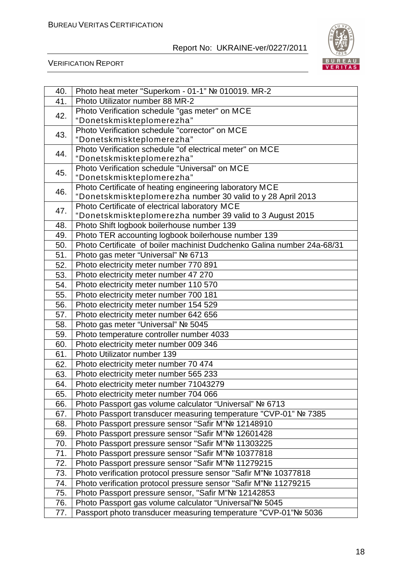

| 40. | Photo heat meter "Superkom - 01-1" № 010019. MR-2                       |
|-----|-------------------------------------------------------------------------|
| 41. | Photo Utilizator number 88 MR-2                                         |
| 42. | Photo Verification schedule "gas meter" on MCE                          |
|     | "Donetskmiskteplomerezha"                                               |
| 43. | Photo Verification schedule "corrector" on MCE                          |
|     | "Donetskmiskteplomerezha"                                               |
| 44. | Photo Verification schedule "of electrical meter" on MCE                |
|     | "Donetskmiskteplomerezha"                                               |
| 45. | Photo Verification schedule "Universal" on MCE                          |
|     | "Donetskmiskteplomerezha"                                               |
| 46. | Photo Certificate of heating engineering laboratory MCE                 |
|     | "Donetskmiskteplomerezha number 30 valid to y 28 April 2013             |
| 47. | Photo Certificate of electrical laboratory MCE                          |
|     | "Donetskmiskteplomerezha number 39 valid to 3 August 2015               |
| 48. | Photo Shift logbook boilerhouse number 139                              |
| 49. | Photo TER accounting logbook boilerhouse number 139                     |
| 50. | Photo Certificate of boiler machinist Dudchenko Galina number 24a-68/31 |
| 51. | Photo gas meter "Universal" № 6713                                      |
| 52. | Photo electricity meter number 770 891                                  |
| 53. | Photo electricity meter number 47 270                                   |
| 54. | Photo electricity meter number 110 570                                  |
| 55. | Photo electricity meter number 700 181                                  |
| 56. | Photo electricity meter number 154 529                                  |
| 57. | Photo electricity meter number 642 656                                  |
| 58. | Photo gas meter "Universal" № 5045                                      |
| 59. | Photo temperature controller number 4033                                |
| 60. | Photo electricity meter number 009 346                                  |
| 61. | Photo Utilizator number 139                                             |
| 62. | Photo electricity meter number 70 474                                   |
| 63. | Photo electricity meter number 565 233                                  |
| 64. | Photo electricity meter number 71043279                                 |
| 65. | Photo electricity meter number 704 066                                  |
| 66. | Photo Passport gas volume calculator "Universal" № 6713                 |
| 67. | Photo Passport transducer measuring temperature "CVP-01" № 7385         |
| 68. | Photo Passport pressure sensor "Safir M"Nº 12148910                     |
| 69. | Photo Passport pressure sensor "Safir M"Nº 12601428                     |
| 70. | Photo Passport pressure sensor "Safir M"Nº 11303225                     |
| 71. | Photo Passport pressure sensor "Safir M"Nº 10377818                     |
| 72. | Photo Passport pressure sensor "Safir M"Nº 11279215                     |
| 73. | Photo verification protocol pressure sensor "Safir M"Nº 10377818        |
| 74. | Photo verification protocol pressure sensor "Safir M"Nº 11279215        |
| 75. | Photo Passport pressure sensor, "Safir M"Nº 12142853                    |
| 76. | Photo Passport gas volume calculator "Universal"No 5045                 |
| 77. | Passport photo transducer measuring temperature "CVP-01"Nº 5036         |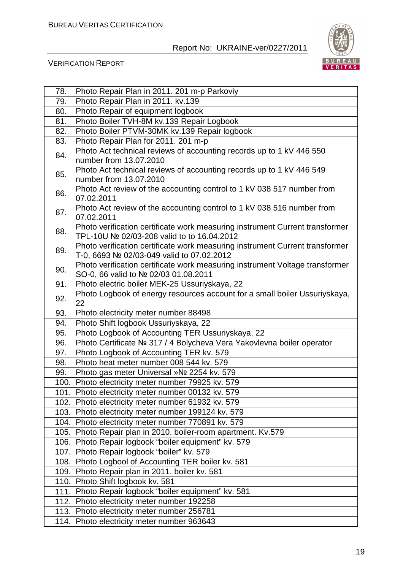

| 78.  | Photo Repair Plan in 2011. 201 m-p Parkoviy                                                                                |
|------|----------------------------------------------------------------------------------------------------------------------------|
| 79.  | Photo Repair Plan in 2011. kv.139                                                                                          |
| 80.  | Photo Repair of equipment logbook                                                                                          |
| 81.  | Photo Boiler TVH-8M kv.139 Repair Logbook                                                                                  |
| 82.  | Photo Boiler PTVM-30MK kv.139 Repair logbook                                                                               |
| 83.  | Photo Repair Plan for 2011. 201 m-p                                                                                        |
| 84.  | Photo Act technical reviews of accounting records up to 1 kV 446 550<br>number from 13.07.2010                             |
| 85.  | Photo Act technical reviews of accounting records up to 1 kV 446 549<br>number from 13.07.2010                             |
| 86.  | Photo Act review of the accounting control to 1 kV 038 517 number from<br>07.02.2011                                       |
| 87.  | Photo Act review of the accounting control to 1 kV 038 516 number from<br>07.02.2011                                       |
| 88.  | Photo verification certificate work measuring instrument Current transformer<br>TPL-10U № 02/03-208 valid to to 16.04.2012 |
| 89.  | Photo verification certificate work measuring instrument Current transformer<br>T-0, 6693 № 02/03-049 valid to 07.02.2012  |
| 90.  | Photo verification certificate work measuring instrument Voltage transformer<br>SO-0, 66 valid to Nº 02/03 01.08.2011      |
| 91.  | Photo electric boiler MEK-25 Ussuriyskaya, 22                                                                              |
| 92.  | Photo Logbook of energy resources account for a small boiler Ussuriyskaya,<br>22                                           |
| 93.  | Photo electricity meter number 88498                                                                                       |
| 94.  | Photo Shift logbook Ussuriyskaya, 22                                                                                       |
| 95.  | Photo Logbook of Accounting TER Ussuriyskaya, 22                                                                           |
| 96.  | Photo Certificate № 317 / 4 Bolycheva Vera Yakovlevna boiler operator                                                      |
| 97.  | Photo Logbook of Accounting TER kv. 579                                                                                    |
| 98.  | Photo heat meter number 008 544 kv. 579                                                                                    |
| 99.  | Photo gas meter Universal »Nº 2254 kv. 579                                                                                 |
| 100. | Photo electricity meter number 79925 kv. 579                                                                               |
| 101. | Photo electricity meter number 00132 kv. 579                                                                               |
| 102. | Photo electricity meter number 61932 kv. 579                                                                               |
| 103. | Photo electricity meter number 199124 kv. 579                                                                              |
| 104. | Photo electricity meter number 770891 kv. 579                                                                              |
| 105. | Photo Repair plan in 2010. boiler-room apartment. Kv.579                                                                   |
| 106. | Photo Repair logbook "boiler equipment" kv. 579                                                                            |
| 107. | Photo Repair logbook "boiler" kv. 579                                                                                      |
| 108. | Photo Logbool of Accounting TER boiler kv. 581                                                                             |
| 109. | Photo Repair plan in 2011. boiler kv. 581                                                                                  |
| 110. | Photo Shift logbook kv. 581                                                                                                |
| 111. | Photo Repair logbook "boiler equipment" kv. 581                                                                            |
| 112. | Photo electricity meter number 192258                                                                                      |
|      |                                                                                                                            |
| 113. | Photo electricity meter number 256781                                                                                      |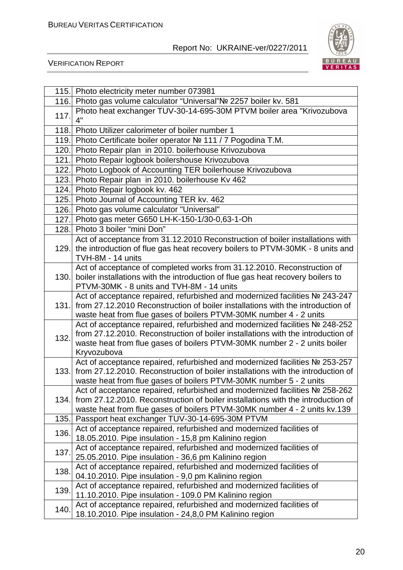

|      | 115. Photo electricity meter number 073981                                               |
|------|------------------------------------------------------------------------------------------|
|      | 116. Photo gas volume calculator "Universal"Nº 2257 boiler kv. 581                       |
| 117. | Photo heat exchanger TUV-30-14-695-30M PTVM boiler area "Krivozubova                     |
|      | 4"                                                                                       |
| 118. | Photo Utilizer calorimeter of boiler number 1                                            |
| 119. | Photo Certificate boiler operator № 111 / 7 Pogodina T.M.                                |
| 120. | Photo Repair plan in 2010. boilerhouse Krivozubova                                       |
| 121. | Photo Repair logbook boilershouse Krivozubova                                            |
| 122. | Photo Logbook of Accounting TER boilerhouse Krivozubova                                  |
| 123. | Photo Repair plan in 2010. boilerhouse Kv 462                                            |
| 124. | Photo Repair logbook kv. 462                                                             |
| 125. | Photo Journal of Accounting TER kv. 462                                                  |
| 126. | Photo gas volume calculator "Universal"                                                  |
| 127. | Photo gas meter G650 LH-K-150-1/30-0,63-1-Oh                                             |
| 128. | Photo 3 boiler "mini Don"                                                                |
|      | Act of acceptance from 31.12.2010 Reconstruction of boiler installations with            |
| 129. | the introduction of flue gas heat recovery boilers to PTVM-30MK - 8 units and            |
|      | TVH-8M - 14 units                                                                        |
|      | Act of acceptance of completed works from 31.12.2010. Reconstruction of                  |
| 130. | boiler installations with the introduction of flue gas heat recovery boilers to          |
|      | PTVM-30MK - 8 units and TVH-8M - 14 units                                                |
|      | Act of acceptance repaired, refurbished and modernized facilities № 243-247              |
| 131. | from 27.12.2010 Reconstruction of boiler installations with the introduction of          |
|      | waste heat from flue gases of boilers PTVM-30MK number 4 - 2 units                       |
|      | Act of acceptance repaired, refurbished and modernized facilities № 248-252              |
| 132. | from 27.12.2010. Reconstruction of boiler installations with the introduction of         |
|      | waste heat from flue gases of boilers PTVM-30MK number 2 - 2 units boiler<br>Kryvozubova |
|      | Act of acceptance repaired, refurbished and modernized facilities № 253-257              |
| 133. | from 27.12.2010. Reconstruction of boiler installations with the introduction of         |
|      | waste heat from flue gases of boilers PTVM-30MK number 5 - 2 units                       |
|      | Act of acceptance repaired, refurbished and modernized facilities № 258-262              |
| 134. | from 27.12.2010. Reconstruction of boiler installations with the introduction of         |
|      | waste heat from flue gases of boilers PTVM-30MK number 4 - 2 units kv.139                |
| 135. | Passport heat exchanger TUV-30-14-695-30M PTVM                                           |
|      | Act of acceptance repaired, refurbished and modernized facilities of                     |
| 136. | 18.05.2010. Pipe insulation - 15,8 pm Kalinino region                                    |
|      | Act of acceptance repaired, refurbished and modernized facilities of                     |
| 137. | 25.05.2010. Pipe insulation - 36,6 pm Kalinino region                                    |
|      | Act of acceptance repaired, refurbished and modernized facilities of                     |
| 138. | 04.10.2010. Pipe insulation - 9,0 pm Kalinino region                                     |
| 139. | Act of acceptance repaired, refurbished and modernized facilities of                     |
|      | 11.10.2010. Pipe insulation - 109.0 PM Kalinino region                                   |
| 140. | Act of acceptance repaired, refurbished and modernized facilities of                     |
|      | 18.10.2010. Pipe insulation - 24,8,0 PM Kalinino region                                  |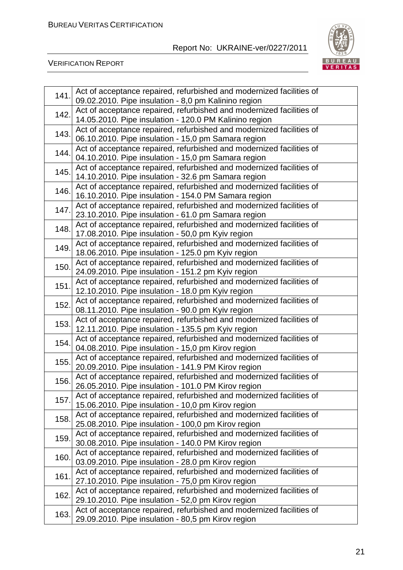

| 141. | Act of acceptance repaired, refurbished and modernized facilities of<br>09.02.2010. Pipe insulation - 8,0 pm Kalinino region   |
|------|--------------------------------------------------------------------------------------------------------------------------------|
| 142. | Act of acceptance repaired, refurbished and modernized facilities of<br>14.05.2010. Pipe insulation - 120.0 PM Kalinino region |
| 143. | Act of acceptance repaired, refurbished and modernized facilities of<br>06.10.2010. Pipe insulation - 15,0 pm Samara region    |
| 144. | Act of acceptance repaired, refurbished and modernized facilities of<br>04.10.2010. Pipe insulation - 15,0 pm Samara region    |
| 145. | Act of acceptance repaired, refurbished and modernized facilities of<br>14.10.2010. Pipe insulation - 32.6 pm Samara region    |
| 146. | Act of acceptance repaired, refurbished and modernized facilities of<br>16.10.2010. Pipe insulation - 154.0 PM Samara region   |
| 147. | Act of acceptance repaired, refurbished and modernized facilities of<br>23.10.2010. Pipe insulation - 61.0 pm Samara region    |
| 148. | Act of acceptance repaired, refurbished and modernized facilities of<br>17.08.2010. Pipe insulation - 50,0 pm Kyiv region      |
| 149. | Act of acceptance repaired, refurbished and modernized facilities of<br>18.06.2010. Pipe insulation - 125.0 pm Kyiv region     |
| 150. | Act of acceptance repaired, refurbished and modernized facilities of<br>24.09.2010. Pipe insulation - 151.2 pm Kyiv region     |
| 151. | Act of acceptance repaired, refurbished and modernized facilities of<br>12.10.2010. Pipe insulation - 18.0 pm Kyiv region      |
| 152. | Act of acceptance repaired, refurbished and modernized facilities of<br>08.11.2010. Pipe insulation - 90.0 pm Kyiv region      |
| 153. | Act of acceptance repaired, refurbished and modernized facilities of<br>12.11.2010. Pipe insulation - 135.5 pm Kyiv region     |
| 154. | Act of acceptance repaired, refurbished and modernized facilities of<br>04.08.2010. Pipe insulation - 15,0 pm Kirov region     |
| 155. | Act of acceptance repaired, refurbished and modernized facilities of<br>20.09.2010. Pipe insulation - 141.9 PM Kirov region    |
| 156. | Act of acceptance repaired, refurbished and modernized facilities of<br>26.05.2010. Pipe insulation - 101.0 PM Kirov region    |
| 157. | Act of acceptance repaired, refurbished and modernized facilities of<br>15.06.2010. Pipe insulation - 10,0 pm Kirov region     |
| 158. | Act of acceptance repaired, refurbished and modernized facilities of<br>25.08.2010. Pipe insulation - 100,0 pm Kirov region    |
| 159. | Act of acceptance repaired, refurbished and modernized facilities of<br>30.08.2010. Pipe insulation - 140.0 PM Kirov region    |
| 160. | Act of acceptance repaired, refurbished and modernized facilities of<br>03.09.2010. Pipe insulation - 28.0 pm Kirov region     |
| 161. | Act of acceptance repaired, refurbished and modernized facilities of<br>27.10.2010. Pipe insulation - 75,0 pm Kirov region     |
| 162. | Act of acceptance repaired, refurbished and modernized facilities of<br>29.10.2010. Pipe insulation - 52,0 pm Kirov region     |
| 163. | Act of acceptance repaired, refurbished and modernized facilities of<br>29.09.2010. Pipe insulation - 80,5 pm Kirov region     |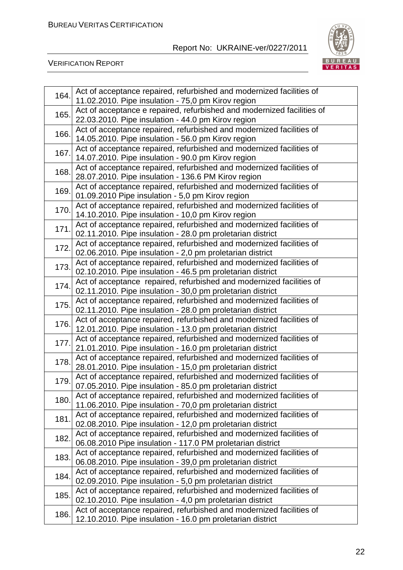

| 164. | Act of acceptance repaired, refurbished and modernized facilities of<br>11.02.2010. Pipe insulation - 75,0 pm Kirov region         |
|------|------------------------------------------------------------------------------------------------------------------------------------|
| 165. | Act of acceptance e repaired, refurbished and modernized facilities of<br>22.03.2010. Pipe insulation - 44.0 pm Kirov region       |
| 166. | Act of acceptance repaired, refurbished and modernized facilities of<br>14.05.2010. Pipe insulation - 56.0 pm Kirov region         |
| 167. | Act of acceptance repaired, refurbished and modernized facilities of<br>14.07.2010. Pipe insulation - 90.0 pm Kirov region         |
| 168. | Act of acceptance repaired, refurbished and modernized facilities of<br>28.07.2010. Pipe insulation - 136.6 PM Kirov region        |
| 169. | Act of acceptance repaired, refurbished and modernized facilities of<br>01.09.2010 Pipe insulation - 5,0 pm Kirov region           |
| 170. | Act of acceptance repaired, refurbished and modernized facilities of<br>14.10.2010. Pipe insulation - 10,0 pm Kirov region         |
| 171. | Act of acceptance repaired, refurbished and modernized facilities of<br>02.11.2010. Pipe insulation - 28.0 pm proletarian district |
| 172. | Act of acceptance repaired, refurbished and modernized facilities of<br>02.06.2010. Pipe insulation - 2,0 pm proletarian district  |
| 173. | Act of acceptance repaired, refurbished and modernized facilities of<br>02.10.2010. Pipe insulation - 46.5 pm proletarian district |
| 174. | Act of acceptance repaired, refurbished and modernized facilities of<br>02.11.2010. Pipe insulation - 30,0 pm proletarian district |
| 175. | Act of acceptance repaired, refurbished and modernized facilities of<br>02.11.2010. Pipe insulation - 28.0 pm proletarian district |
| 176. | Act of acceptance repaired, refurbished and modernized facilities of<br>12.01.2010. Pipe insulation - 13.0 pm proletarian district |
| 177. | Act of acceptance repaired, refurbished and modernized facilities of<br>21.01.2010. Pipe insulation - 16.0 pm proletarian district |
| 178. | Act of acceptance repaired, refurbished and modernized facilities of<br>28.01.2010. Pipe insulation - 15,0 pm proletarian district |
| 179. | Act of acceptance repaired, refurbished and modernized facilities of<br>07.05.2010. Pipe insulation - 85.0 pm proletarian district |
| 180. | Act of acceptance repaired, refurbished and modernized facilities of<br>11.06.2010. Pipe insulation - 70,0 pm proletarian district |
| 181. | Act of acceptance repaired, refurbished and modernized facilities of<br>02.08.2010. Pipe insulation - 12,0 pm proletarian district |
| 182. | Act of acceptance repaired, refurbished and modernized facilities of<br>06.08.2010 Pipe insulation - 117.0 PM proletarian district |
| 183. | Act of acceptance repaired, refurbished and modernized facilities of<br>06.08.2010. Pipe insulation - 39,0 pm proletarian district |
| 184. | Act of acceptance repaired, refurbished and modernized facilities of<br>02.09.2010. Pipe insulation - 5,0 pm proletarian district  |
| 185. | Act of acceptance repaired, refurbished and modernized facilities of<br>02.10.2010. Pipe insulation - 4,0 pm proletarian district  |
| 186. | Act of acceptance repaired, refurbished and modernized facilities of<br>12.10.2010. Pipe insulation - 16.0 pm proletarian district |
|      |                                                                                                                                    |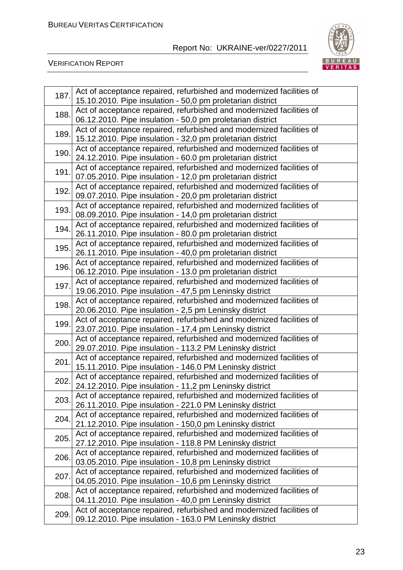

| 187. | Act of acceptance repaired, refurbished and modernized facilities of<br>15.10.2010. Pipe insulation - 50,0 pm proletarian district |
|------|------------------------------------------------------------------------------------------------------------------------------------|
| 188. | Act of acceptance repaired, refurbished and modernized facilities of<br>06.12.2010. Pipe insulation - 50,0 pm proletarian district |
| 189. | Act of acceptance repaired, refurbished and modernized facilities of<br>15.12.2010. Pipe insulation - 32,0 pm proletarian district |
| 190. | Act of acceptance repaired, refurbished and modernized facilities of<br>24.12.2010. Pipe insulation - 60.0 pm proletarian district |
| 191. | Act of acceptance repaired, refurbished and modernized facilities of<br>07.05.2010. Pipe insulation - 12,0 pm proletarian district |
| 192. | Act of acceptance repaired, refurbished and modernized facilities of<br>09.07.2010. Pipe insulation - 20,0 pm proletarian district |
| 193. | Act of acceptance repaired, refurbished and modernized facilities of<br>08.09.2010. Pipe insulation - 14,0 pm proletarian district |
| 194. | Act of acceptance repaired, refurbished and modernized facilities of<br>26.11.2010. Pipe insulation - 80.0 pm proletarian district |
| 195. | Act of acceptance repaired, refurbished and modernized facilities of<br>26.11.2010. Pipe insulation - 40,0 pm proletarian district |
| 196. | Act of acceptance repaired, refurbished and modernized facilities of<br>06.12.2010. Pipe insulation - 13.0 pm proletarian district |
| 197. | Act of acceptance repaired, refurbished and modernized facilities of<br>19.06.2010. Pipe insulation - 47,5 pm Leninsky district    |
| 198. | Act of acceptance repaired, refurbished and modernized facilities of<br>20.06.2010. Pipe insulation - 2,5 pm Leninsky district     |
| 199. | Act of acceptance repaired, refurbished and modernized facilities of<br>23.07.2010. Pipe insulation - 17,4 pm Leninsky district    |
| 200. | Act of acceptance repaired, refurbished and modernized facilities of<br>29.07.2010. Pipe insulation - 113.2 PM Leninsky district   |
| 201. | Act of acceptance repaired, refurbished and modernized facilities of<br>15.11.2010. Pipe insulation - 146.0 PM Leninsky district   |
| 202. | Act of acceptance repaired, refurbished and modernized facilities of<br>24.12.2010. Pipe insulation - 11,2 pm Leninsky district    |
| 203. | Act of acceptance repaired, refurbished and modernized facilities of<br>26.11.2010. Pipe insulation - 221.0 PM Leninsky district   |
| 204. | Act of acceptance repaired, refurbished and modernized facilities of<br>21.12.2010. Pipe insulation - 150,0 pm Leninsky district   |
| 205. | Act of acceptance repaired, refurbished and modernized facilities of<br>27.12.2010. Pipe insulation - 118.8 PM Leninsky district   |
| 206. | Act of acceptance repaired, refurbished and modernized facilities of<br>03.05.2010. Pipe insulation - 10,8 pm Leninsky district    |
| 207. | Act of acceptance repaired, refurbished and modernized facilities of<br>04.05.2010. Pipe insulation - 10,6 pm Leninsky district    |
| 208. | Act of acceptance repaired, refurbished and modernized facilities of<br>04.11.2010. Pipe insulation - 40,0 pm Leninsky district    |
| 209. | Act of acceptance repaired, refurbished and modernized facilities of<br>09.12.2010. Pipe insulation - 163.0 PM Leninsky district   |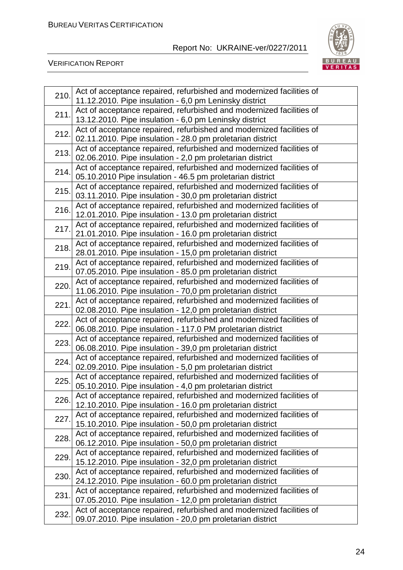

| 210. | Act of acceptance repaired, refurbished and modernized facilities of<br>11.12.2010. Pipe insulation - 6,0 pm Leninsky district      |
|------|-------------------------------------------------------------------------------------------------------------------------------------|
| 211. | Act of acceptance repaired, refurbished and modernized facilities of<br>13.12.2010. Pipe insulation - 6,0 pm Leninsky district      |
| 212. | Act of acceptance repaired, refurbished and modernized facilities of<br>02.11.2010. Pipe insulation - 28.0 pm proletarian district  |
| 213. | Act of acceptance repaired, refurbished and modernized facilities of<br>02.06.2010. Pipe insulation - 2,0 pm proletarian district   |
| 214. | Act of acceptance repaired, refurbished and modernized facilities of<br>05.10.2010 Pipe insulation - 46.5 pm proletarian district   |
| 215. | Act of acceptance repaired, refurbished and modernized facilities of<br>03.11.2010. Pipe insulation - 30,0 pm proletarian district  |
| 216. | Act of acceptance repaired, refurbished and modernized facilities of<br>12.01.2010. Pipe insulation - 13.0 pm proletarian district  |
| 217. | Act of acceptance repaired, refurbished and modernized facilities of<br>21.01.2010. Pipe insulation - 16.0 pm proletarian district  |
| 218. | Act of acceptance repaired, refurbished and modernized facilities of<br>28.01.2010. Pipe insulation - 15,0 pm proletarian district  |
| 219. | Act of acceptance repaired, refurbished and modernized facilities of<br>07.05.2010. Pipe insulation - 85.0 pm proletarian district  |
| 220. | Act of acceptance repaired, refurbished and modernized facilities of<br>11.06.2010. Pipe insulation - 70,0 pm proletarian district  |
| 221. | Act of acceptance repaired, refurbished and modernized facilities of<br>02.08.2010. Pipe insulation - 12,0 pm proletarian district  |
| 222. | Act of acceptance repaired, refurbished and modernized facilities of<br>06.08.2010. Pipe insulation - 117.0 PM proletarian district |
| 223. | Act of acceptance repaired, refurbished and modernized facilities of<br>06.08.2010. Pipe insulation - 39,0 pm proletarian district  |
| 224. | Act of acceptance repaired, refurbished and modernized facilities of<br>02.09.2010. Pipe insulation - 5,0 pm proletarian district   |
| 225. | Act of acceptance repaired, refurbished and modernized facilities of<br>05.10.2010. Pipe insulation - 4.0 pm proletarian district   |
| 226. | Act of acceptance repaired, refurbished and modernized facilities of<br>12.10.2010. Pipe insulation - 16.0 pm proletarian district  |
| 227. | Act of acceptance repaired, refurbished and modernized facilities of<br>15.10.2010. Pipe insulation - 50,0 pm proletarian district  |
| 228. | Act of acceptance repaired, refurbished and modernized facilities of<br>06.12.2010. Pipe insulation - 50,0 pm proletarian district  |
| 229. | Act of acceptance repaired, refurbished and modernized facilities of<br>15.12.2010. Pipe insulation - 32,0 pm proletarian district  |
| 230. | Act of acceptance repaired, refurbished and modernized facilities of<br>24.12.2010. Pipe insulation - 60.0 pm proletarian district  |
| 231. | Act of acceptance repaired, refurbished and modernized facilities of<br>07.05.2010. Pipe insulation - 12,0 pm proletarian district  |
| 232. | Act of acceptance repaired, refurbished and modernized facilities of<br>09.07.2010. Pipe insulation - 20,0 pm proletarian district  |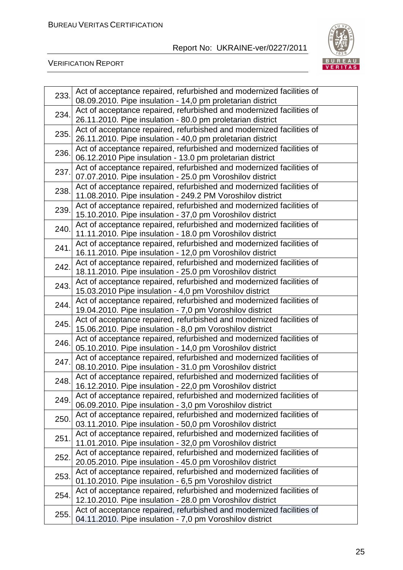

| 233. | Act of acceptance repaired, refurbished and modernized facilities of<br>08.09.2010. Pipe insulation - 14,0 pm proletarian district |
|------|------------------------------------------------------------------------------------------------------------------------------------|
| 234. | Act of acceptance repaired, refurbished and modernized facilities of<br>26.11.2010. Pipe insulation - 80.0 pm proletarian district |
| 235. | Act of acceptance repaired, refurbished and modernized facilities of<br>26.11.2010. Pipe insulation - 40,0 pm proletarian district |
| 236. | Act of acceptance repaired, refurbished and modernized facilities of<br>06.12.2010 Pipe insulation - 13.0 pm proletarian district  |
| 237. | Act of acceptance repaired, refurbished and modernized facilities of<br>07.07.2010. Pipe insulation - 25.0 pm Voroshilov district  |
| 238. | Act of acceptance repaired, refurbished and modernized facilities of<br>11.08.2010. Pipe insulation - 249.2 PM Voroshilov district |
| 239. | Act of acceptance repaired, refurbished and modernized facilities of<br>15.10.2010. Pipe insulation - 37,0 pm Voroshilov district  |
| 240. | Act of acceptance repaired, refurbished and modernized facilities of<br>11.11.2010. Pipe insulation - 18.0 pm Voroshilov district  |
| 241. | Act of acceptance repaired, refurbished and modernized facilities of<br>16.11.2010. Pipe insulation - 12,0 pm Voroshilov district  |
| 242. | Act of acceptance repaired, refurbished and modernized facilities of<br>18.11.2010. Pipe insulation - 25.0 pm Voroshilov district  |
| 243. | Act of acceptance repaired, refurbished and modernized facilities of<br>15.03.2010 Pipe insulation - 4,0 pm Voroshilov district    |
| 244. | Act of acceptance repaired, refurbished and modernized facilities of<br>19.04.2010. Pipe insulation - 7,0 pm Voroshilov district   |
| 245. | Act of acceptance repaired, refurbished and modernized facilities of<br>15.06.2010. Pipe insulation - 8,0 pm Voroshilov district   |
| 246. | Act of acceptance repaired, refurbished and modernized facilities of<br>05.10.2010. Pipe insulation - 14,0 pm Voroshilov district  |
| 247. | Act of acceptance repaired, refurbished and modernized facilities of<br>08.10.2010. Pipe insulation - 31.0 pm Voroshilov district  |
| 248. | Act of acceptance repaired, refurbished and modernized facilities of<br>16.12.2010. Pipe insulation - 22,0 pm Voroshilov district  |
| 249. | Act of acceptance repaired, refurbished and modernized facilities of<br>06.09.2010. Pipe insulation - 3,0 pm Voroshilov district   |
| 250. | Act of acceptance repaired, refurbished and modernized facilities of<br>03.11.2010. Pipe insulation - 50,0 pm Voroshilov district  |
| 251. | Act of acceptance repaired, refurbished and modernized facilities of<br>11.01.2010. Pipe insulation - 32,0 pm Voroshilov district  |
| 252. | Act of acceptance repaired, refurbished and modernized facilities of<br>20.05.2010. Pipe insulation - 45.0 pm Voroshilov district  |
| 253. | Act of acceptance repaired, refurbished and modernized facilities of<br>01.10.2010. Pipe insulation - 6,5 pm Voroshilov district   |
| 254. | Act of acceptance repaired, refurbished and modernized facilities of<br>12.10.2010. Pipe insulation - 28.0 pm Voroshilov district  |
| 255. | Act of acceptance repaired, refurbished and modernized facilities of<br>04.11.2010. Pipe insulation - 7,0 pm Voroshilov district   |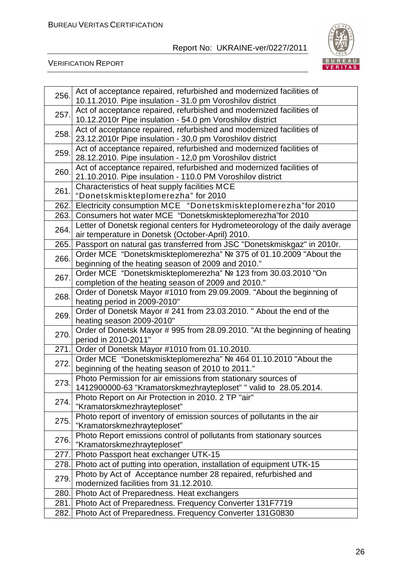

| 256. | Act of acceptance repaired, refurbished and modernized facilities of<br>10.11.2010. Pipe insulation - 31.0 pm Voroshilov district  |
|------|------------------------------------------------------------------------------------------------------------------------------------|
| 257. | Act of acceptance repaired, refurbished and modernized facilities of<br>10.12.2010r Pipe insulation - 54.0 pm Voroshilov district  |
| 258. | Act of acceptance repaired, refurbished and modernized facilities of                                                               |
|      | 23.12.2010r Pipe insulation - 30,0 pm Voroshilov district<br>Act of acceptance repaired, refurbished and modernized facilities of  |
| 259. | 28.12.2010. Pipe insulation - 12,0 pm Voroshilov district                                                                          |
| 260. | Act of acceptance repaired, refurbished and modernized facilities of<br>21.10.2010. Pipe insulation - 110.0 PM Voroshilov district |
| 261. | Characteristics of heat supply facilities MCE<br>"Donetskmiskteplomerezha" for 2010                                                |
| 262. | Electricity consumption MCE "Donetskmiskteplomerezha" for 2010                                                                     |
| 263. | Consumers hot water MCE "Donetskmiskteplomerezha" for 2010                                                                         |
|      | Letter of Donetsk regional centers for Hydrometeorology of the daily average                                                       |
| 264. | air temperature in Donetsk (October-April) 2010.                                                                                   |
| 265. | Passport on natural gas transferred from JSC "Donetskmiskgaz" in 2010r.                                                            |
| 266. | Order MCE "Donetskmiskteplomerezha" Nº 375 of 01.10.2009 "About the                                                                |
|      | beginning of the heating season of 2009 and 2010."                                                                                 |
| 267. | Order MCE "Donetskmiskteplomerezha" Nº 123 from 30.03.2010 "On                                                                     |
|      | completion of the heating season of 2009 and 2010."                                                                                |
| 268. | Order of Donetsk Mayor #1010 from 29.09.2009. "About the beginning of<br>heating period in 2009-2010"                              |
| 269. | Order of Donetsk Mayor # 241 from 23.03.2010. " About the end of the                                                               |
|      | heating season 2009-2010"                                                                                                          |
| 270. | Order of Donetsk Mayor # 995 from 28.09.2010. "At the beginning of heating<br>period in 2010-2011"                                 |
| 271. | Order of Donetsk Mayor #1010 from 01.10.2010.                                                                                      |
| 272. | Order MCE "Donetskmiskteplomerezha" Nº 464 01.10.2010 "About the<br>beginning of the heating season of 2010 to 2011."              |
| 273. | Photo Permission for air emissions from stationary sources of<br>1412900000-63 "Kramatorskmezhrayteploset" " valid to 28.05.2014.  |
|      | Photo Report on Air Protection in 2010. 2 TP "air"                                                                                 |
| 274. | "Kramatorskmezhrayteploset"                                                                                                        |
| 275. | Photo report of inventory of emission sources of pollutants in the air                                                             |
|      | "Kramatorskmezhrayteploset"                                                                                                        |
| 276. | Photo Report emissions control of pollutants from stationary sources                                                               |
|      | "Kramatorskmezhrayteploset"                                                                                                        |
| 277. | Photo Passport heat exchanger UTK-15                                                                                               |
| 278. | Photo act of putting into operation, installation of equipment UTK-15                                                              |
| 279. | Photo by Act of Acceptance number 28 repaired, refurbished and<br>modernized facilities from 31.12.2010.                           |
| 280. | Photo Act of Preparedness. Heat exchangers                                                                                         |
| 281. | Photo Act of Preparedness. Frequency Converter 131F7719                                                                            |
| 282. | Photo Act of Preparedness. Frequency Converter 131G0830                                                                            |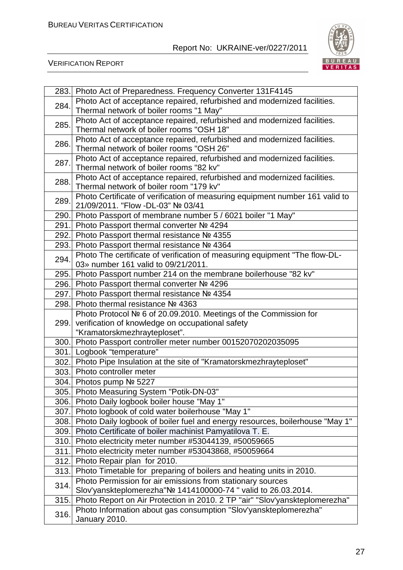

|      | 283. Photo Act of Preparedness. Frequency Converter 131F4145                 |
|------|------------------------------------------------------------------------------|
|      | Photo Act of acceptance repaired, refurbished and modernized facilities.     |
| 284. | Thermal network of boiler rooms "1 May"                                      |
| 285. | Photo Act of acceptance repaired, refurbished and modernized facilities.     |
|      | Thermal network of boiler rooms "OSH 18"                                     |
|      | Photo Act of acceptance repaired, refurbished and modernized facilities.     |
| 286. | Thermal network of boiler rooms "OSH 26"                                     |
| 287. | Photo Act of acceptance repaired, refurbished and modernized facilities.     |
|      | Thermal network of boiler rooms "82 kv"                                      |
| 288. | Photo Act of acceptance repaired, refurbished and modernized facilities.     |
|      | Thermal network of boiler room "179 kv"                                      |
| 289. | Photo Certificate of verification of measuring equipment number 161 valid to |
|      | 21/09/2011. "Flow -DL-03" № 03/41                                            |
| 290. | Photo Passport of membrane number 5 / 6021 boiler "1 May"                    |
| 291. | Photo Passport thermal converter Nº 4294                                     |
|      | 292. Photo Passport thermal resistance № 4355                                |
| 293. | Photo Passport thermal resistance № 4364                                     |
| 294. | Photo The certificate of verification of measuring equipment "The flow-DL-   |
|      | 03» number 161 valid to 09/21/2011.                                          |
| 295. | Photo Passport number 214 on the membrane boilerhouse "82 kv"                |
|      | 296. Photo Passport thermal converter Nº 4296                                |
|      | 297. Photo Passport thermal resistance № 4354                                |
| 298. | Photo thermal resistance Nº 4363                                             |
|      | Photo Protocol № 6 of 20.09.2010. Meetings of the Commission for             |
| 299. | verification of knowledge on occupational safety                             |
|      | "Kramatorskmezhrayteploset".                                                 |
|      | 300. Photo Passport controller meter number 00152070202035095                |
|      | 301. Logbook "temperature"                                                   |
|      | 302. Photo Pipe Insulation at the site of "Kramatorskmezhrayteploset"        |
|      | 303. Photo controller meter                                                  |
|      | 304. Photos pump Nº 5227                                                     |
| 305. | Photo Measuring System "Potik-DN-03"                                         |
| 306. | Photo Daily logbook boiler house "May 1"                                     |
| 307. | Photo logbook of cold water boilerhouse "May 1"                              |
| 308. | Photo Daily logbook of boiler fuel and energy resources, boilerhouse "May 1" |
| 309. | Photo Certificate of boiler machinist Pamyatilova T. E.                      |
| 310. | Photo electricity meter number #53044139, #50059665                          |
| 311. | Photo electricity meter number #53043868, #50059664                          |
| 312. | Photo Repair plan for 2010.                                                  |
| 313. | Photo Timetable for preparing of boilers and heating units in 2010.          |
| 314. | Photo Permission for air emissions from stationary sources                   |
|      | Slov'yanskteplomerezha"Nº 1414100000-74 " valid to 26.03.2014.               |
| 315. | Photo Report on Air Protection in 2010. 2 TP "air" "Slov'yanskteplomerezha"  |
| 316. | Photo Information about gas consumption "Slov'yanskteplomerezha"             |
|      | January 2010.                                                                |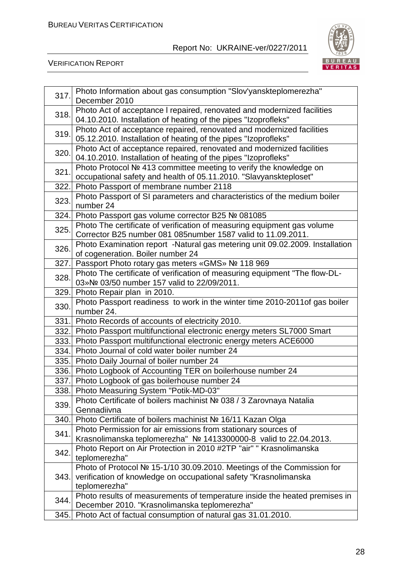

| 317. | Photo Information about gas consumption "Slov'yanskteplomerezha"<br>December 2010                                                         |
|------|-------------------------------------------------------------------------------------------------------------------------------------------|
| 318. | Photo Act of acceptance I repaired, renovated and modernized facilities<br>04.10.2010. Installation of heating of the pipes "Izoprofleks" |
| 319. | Photo Act of acceptance repaired, renovated and modernized facilities<br>05.12.2010. Installation of heating of the pipes "Izoprofleks"   |
| 320. | Photo Act of acceptance repaired, renovated and modernized facilities<br>04.10.2010. Installation of heating of the pipes "Izoprofleks"   |
| 321. | Photo Protocol № 413 committee meeting to verify the knowledge on<br>occupational safety and health of 05.11.2010. "Slavyanskteploset"    |
| 322. | Photo Passport of membrane number 2118                                                                                                    |
| 323. | Photo Passport of SI parameters and characteristics of the medium boiler<br>number 24                                                     |
| 324. | Photo Passport gas volume corrector B25 № 081085                                                                                          |
| 325. | Photo The certificate of verification of measuring equipment gas volume<br>Corrector B25 number 081 085number 1587 valid to 11.09.2011.   |
| 326. | Photo Examination report -Natural gas metering unit 09.02.2009. Installation<br>of cogeneration. Boiler number 24                         |
| 327. | Passport Photo rotary gas meters «GMS» № 118 969                                                                                          |
| 328. | Photo The certificate of verification of measuring equipment "The flow-DL-                                                                |
|      | 03»Nº 03/50 number 157 valid to 22/09/2011.                                                                                               |
| 329. | Photo Repair plan in 2010.                                                                                                                |
| 330. | Photo Passport readiness to work in the winter time 2010-2011 of gas boiler<br>number 24.                                                 |
| 331. | Photo Records of accounts of electricity 2010.                                                                                            |
| 332. | Photo Passport multifunctional electronic energy meters SL7000 Smart                                                                      |
| 333. | Photo Passport multifunctional electronic energy meters ACE6000                                                                           |
| 334. | Photo Journal of cold water boiler number 24                                                                                              |
| 335. | Photo Daily Journal of boiler number 24                                                                                                   |
| 336. | Photo Logbook of Accounting TER on boilerhouse number 24                                                                                  |
| 337. | Photo Logbook of gas boilerhouse number 24                                                                                                |
| 338. | Photo Measuring System "Potik-MD-03"                                                                                                      |
| 339. | Photo Certificate of boilers machinist № 038 / 3 Zarovnaya Natalia<br>Gennadiivna                                                         |
| 340. | Photo Certificate of boilers machinist № 16/11 Kazan Olga                                                                                 |
|      | Photo Permission for air emissions from stationary sources of                                                                             |
| 341. | Krasnolimanska teplomerezha" Nº 1413300000-8 valid to 22.04.2013.                                                                         |
|      | Photo Report on Air Protection in 2010 #2TP "air" " Krasnolimanska                                                                        |
| 342. | teplomerezha"                                                                                                                             |
|      | Photo of Protocol № 15-1/10 30.09.2010. Meetings of the Commission for                                                                    |
| 343. | verification of knowledge on occupational safety "Krasnolimanska"                                                                         |
|      | teplomerezha"                                                                                                                             |
| 344. | Photo results of measurements of temperature inside the heated premises in<br>December 2010. "Krasnolimanska teplomerezha"                |
| 345. | Photo Act of factual consumption of natural gas 31.01.2010.                                                                               |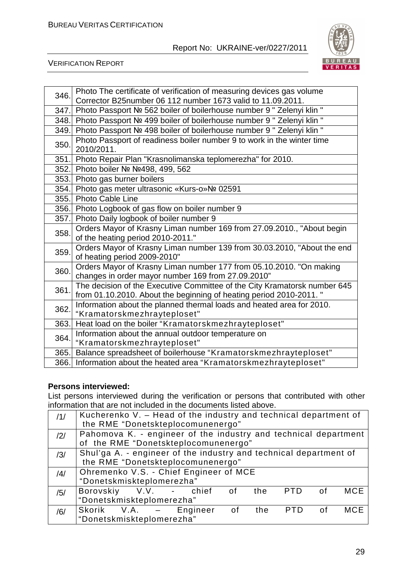

VERIFICATION REPORT

| 346. | Photo The certificate of verification of measuring devices gas volume     |
|------|---------------------------------------------------------------------------|
|      | Corrector B25number 06 112 number 1673 valid to 11.09.2011.               |
| 347. | Photo Passport № 562 boiler of boilerhouse number 9 " Zelenyi klin "      |
| 348. | Photo Passport № 499 boiler of boilerhouse number 9 " Zelenyi klin "      |
| 349. | Photo Passport № 498 boiler of boilerhouse number 9 " Zelenyi klin "      |
| 350. | Photo Passport of readiness boiler number 9 to work in the winter time    |
|      | 2010/2011.                                                                |
|      | 351. Photo Repair Plan "Krasnolimanska teplomerezha" for 2010.            |
| 352. | Photo boiler Nº Nº498, 499, 562                                           |
| 353. | Photo gas burner boilers                                                  |
|      | 354. Photo gas meter ultrasonic «Kurs-o»Nº 02591                          |
| 355. | Photo Cable Line                                                          |
|      | 356. Photo Logbook of gas flow on boiler number 9                         |
| 357. | Photo Daily logbook of boiler number 9                                    |
| 358. | Orders Mayor of Krasny Liman number 169 from 27.09.2010., "About begin    |
|      | of the heating period 2010-2011."                                         |
| 359. | Orders Mayor of Krasny Liman number 139 from 30.03.2010, "About the end   |
|      | of heating period 2009-2010"                                              |
| 360. | Orders Mayor of Krasny Liman number 177 from 05.10.2010. "On making       |
|      | changes in order mayor number 169 from 27.09.2010"                        |
| 361. | The decision of the Executive Committee of the City Kramatorsk number 645 |
|      | from 01.10.2010. About the beginning of heating period 2010-2011. "       |
| 362. | Information about the planned thermal loads and heated area for 2010.     |
|      | "Kramatorskmezhrayteploset"                                               |
| 363. | Heat load on the boiler "Kramatorskmezhrayteploset"                       |
| 364. | Information about the annual outdoor temperature on                       |
|      | "Kramatorskmezhrayteploset"                                               |
| 365. | Balance spreadsheet of boilerhouse "Kramatorskmezhrayteploset"            |
|      | 366. Information about the heated area "Kramatorskmezhrayteploset"        |

#### **Persons interviewed:**

List persons interviewed during the verification or persons that contributed with other information that are not included in the documents listed above.

| /1/            | Kucherenko V. - Head of the industry and technical department of<br>the RME "Donetskteplocomunenergo"          |
|----------------|----------------------------------------------------------------------------------------------------------------|
| $\frac{12}{3}$ | Pahomova K. - engineer of the industry and technical department<br>of the RME "Donetskteplocomunenergo"        |
| /3/            | Shul'ga A. - engineer of the industry and technical department of<br>the RME "Donetskteplocomunenergo"         |
| /4/            | Ohremenko V.S. - Chief Engineer of MCE<br>"Donetskmiskteplomerezha"                                            |
| /5/            | Borovskiy V.V. - chief<br><b>MCE</b><br>PTD of<br>the<br>$\overline{\mathsf{of}}$<br>"Donetskmiskteplomerezha" |
| /6/            | Skorik V.A. - Engineer<br><b>MCE</b><br><b>PTD</b><br>the<br>of<br>-of<br>"Donetskmiskteplomerezha"            |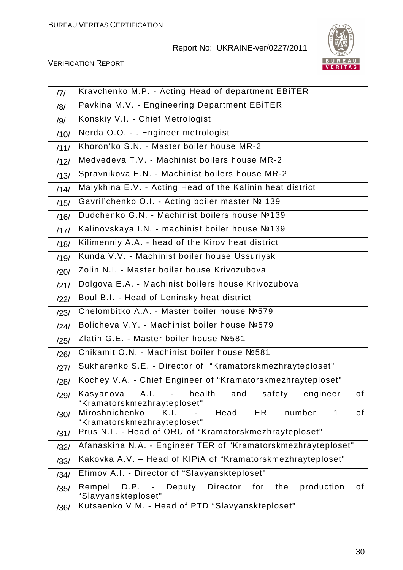

| 7    | Kravchenko M.P. - Acting Head of department EBITER                                                          |
|------|-------------------------------------------------------------------------------------------------------------|
| /8/  | Pavkina M.V. - Engineering Department EBiTER                                                                |
| /9/  | Konskiy V.I. - Chief Metrologist                                                                            |
| /10/ | Nerda O.O. - . Engineer metrologist                                                                         |
| /11/ | Khoron'ko S.N. - Master boiler house MR-2                                                                   |
| /12/ | Medvedeva T.V. - Machinist boilers house MR-2                                                               |
| /13/ | Spravnikova E.N. - Machinist boilers house MR-2                                                             |
| /14/ | Malykhina E.V. - Acting Head of the Kalinin heat district                                                   |
| /15/ | Gavril'chenko O.I. - Acting boiler master № 139                                                             |
| /16/ | Dudchenko G.N. - Machinist boilers house №139                                                               |
| /17/ | Kalinovskaya I.N. - machinist boiler house Nº139                                                            |
| /18/ | Kilimenniy A.A. - head of the Kirov heat district                                                           |
| /19/ | Kunda V.V. - Machinist boiler house Ussuriysk                                                               |
| /20/ | Zolin N.I. - Master boiler house Krivozubova                                                                |
| /21/ | Dolgova E.A. - Machinist boilers house Krivozubova                                                          |
| /22/ | Boul B.I. - Head of Leninsky heat district                                                                  |
| /23/ | Chelombitko A.A. - Master boiler house Nº579                                                                |
| /24/ | Bolicheva V.Y. - Machinist boiler house №579                                                                |
| /25/ | Zlatin G.E. - Master boiler house №581                                                                      |
| /26/ | Chikamit O.N. - Machinist boiler house №581                                                                 |
| /27/ | Sukharenko S.E. - Director of "Kramatorskmezhrayteploset"                                                   |
| /28/ | Kochey V.A. - Chief Engineer of "Kramatorskmezhrayteploset"                                                 |
| /29/ | health<br>and<br>safety<br>of<br>engineer<br>Kasyanova<br>A.I.<br>$\sim 100$<br>"Kramatorskmezhrayteploset" |
| /30/ | Head<br>Miroshnichenko<br>K.I.<br>ER<br>of<br>number<br>$\mathbf{1}$                                        |
|      | "Kramatorskmezhrayteploset"<br>Prus N.L. - Head of ORU of "Kramatorskmezhrayteploset"                       |
| /31/ | Afanaskina N.A. - Engineer TER of "Kramatorskmezhrayteploset"                                               |
| /32/ | Kakovka A.V. - Head of KIPIA of "Kramatorskmezhrayteploset"                                                 |
| /33/ | Efimov A.I. - Director of "Slavyanskteploset"                                                               |
| /34/ | Director<br>production<br>D.P.<br>Deputy<br>for<br>the<br>of<br>Rempel                                      |
| /35/ | "Slavyanskteploset"                                                                                         |
| /36/ | Kutsaenko V.M. - Head of PTD "Slavyanskteploset"                                                            |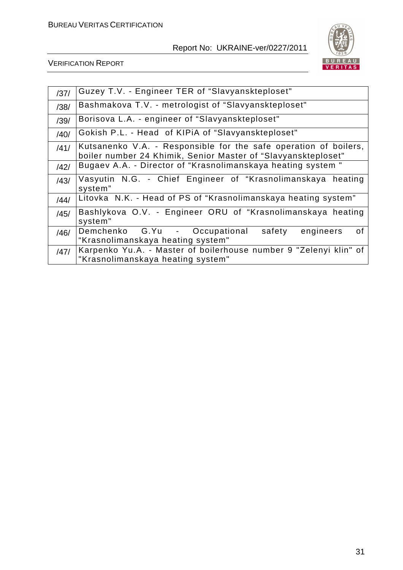

| /37/ | Guzey T.V. - Engineer TER of "Slavyanskteploset"                                                                                  |
|------|-----------------------------------------------------------------------------------------------------------------------------------|
| /38/ | Bashmakova T.V. - metrologist of "Slavyanskteploset"                                                                              |
| /39/ | Borisova L.A. - engineer of "Slavyanskteploset"                                                                                   |
| /40/ | Gokish P.L. - Head of KIPIA of "Slavyanskteploset"                                                                                |
| /41/ | Kutsanenko V.A. - Responsible for the safe operation of boilers,<br>boiler number 24 Khimik, Senior Master of "Slavyanskteploset" |
| /42/ | Bugaev A.A. - Director of "Krasnolimanskaya heating system "                                                                      |
| /43/ | Vasyutin N.G. - Chief Engineer of "Krasnolimanskaya heating<br>system"                                                            |
| /44/ | Litovka N.K. - Head of PS of "Krasnolimanskaya heating system"                                                                    |
| /45/ | Bashlykova O.V. - Engineer ORU of "Krasnolimanskaya heating<br>system"                                                            |
| /46/ | Demchenko G.Yu - Occupational<br>safety<br>engineers<br>οf<br>"Krasnolimanskaya heating system"                                   |
| /47/ | Karpenko Yu.A. - Master of boilerhouse number 9 "Zelenyi klin" of<br>"Krasnolimanskaya heating system"                            |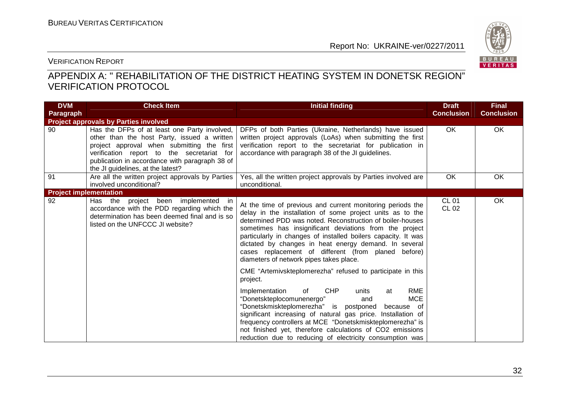

#### VERIFICATION REPORT

# APPENDIX A: " REHABILITATION OF THE DISTRICT HEATING SYSTEM IN DONETSK REGION" VERIFICATION PROTOCOL

| <b>DVM</b>                    | <b>Check Item</b>                                                                                                                                                                                                                                                              | <b>Initial finding</b>                                                                                                                                                                                                                                                                                                                                                                                                                                                                                                                                                                                                                                                                                                                                                                                                                                                                                                                                                                   | <b>Draft</b>                 | <b>Final</b>      |
|-------------------------------|--------------------------------------------------------------------------------------------------------------------------------------------------------------------------------------------------------------------------------------------------------------------------------|------------------------------------------------------------------------------------------------------------------------------------------------------------------------------------------------------------------------------------------------------------------------------------------------------------------------------------------------------------------------------------------------------------------------------------------------------------------------------------------------------------------------------------------------------------------------------------------------------------------------------------------------------------------------------------------------------------------------------------------------------------------------------------------------------------------------------------------------------------------------------------------------------------------------------------------------------------------------------------------|------------------------------|-------------------|
| Paragraph                     |                                                                                                                                                                                                                                                                                |                                                                                                                                                                                                                                                                                                                                                                                                                                                                                                                                                                                                                                                                                                                                                                                                                                                                                                                                                                                          | <b>Conclusion</b>            | <b>Conclusion</b> |
|                               | <b>Project approvals by Parties involved</b>                                                                                                                                                                                                                                   |                                                                                                                                                                                                                                                                                                                                                                                                                                                                                                                                                                                                                                                                                                                                                                                                                                                                                                                                                                                          |                              |                   |
| 90                            | Has the DFPs of at least one Party involved,<br>other than the host Party, issued a written<br>project approval when submitting the first<br>verification report to the secretariat for<br>publication in accordance with paragraph 38 of<br>the JI guidelines, at the latest? | DFPs of both Parties (Ukraine, Netherlands) have issued<br>written project approvals (LoAs) when submitting the first<br>verification report to the secretariat for publication in<br>accordance with paragraph 38 of the JI guidelines.                                                                                                                                                                                                                                                                                                                                                                                                                                                                                                                                                                                                                                                                                                                                                 | OK                           | OK                |
| 91                            | Are all the written project approvals by Parties<br>involved unconditional?                                                                                                                                                                                                    | Yes, all the written project approvals by Parties involved are<br>unconditional.                                                                                                                                                                                                                                                                                                                                                                                                                                                                                                                                                                                                                                                                                                                                                                                                                                                                                                         | <b>OK</b>                    | OK.               |
| <b>Project implementation</b> |                                                                                                                                                                                                                                                                                |                                                                                                                                                                                                                                                                                                                                                                                                                                                                                                                                                                                                                                                                                                                                                                                                                                                                                                                                                                                          |                              |                   |
| 92                            | Has the project been implemented in<br>accordance with the PDD regarding which the<br>determination has been deemed final and is so<br>listed on the UNFCCC JI website?                                                                                                        | At the time of previous and current monitoring periods the<br>delay in the installation of some project units as to the<br>determined PDD was noted. Reconstruction of boiler-houses<br>sometimes has insignificant deviations from the project<br>particularly in changes of installed boilers capacity. It was<br>dictated by changes in heat energy demand. In several<br>cases replacement of different (from planed before)<br>diameters of network pipes takes place.<br>CME "Artemivskteplomerezha" refused to participate in this<br>project.<br><b>RME</b><br><b>CHP</b><br>Implementation<br>of<br>units<br>at<br>"Donetskteplocomunenergo"<br><b>MCE</b><br>and<br>"Donetskmiskteplomerezha" is postponed<br>because of<br>significant increasing of natural gas price. Installation of<br>frequency controllers at MCE "Donetskmiskteplomerezha" is<br>not finished yet, therefore calculations of CO2 emissions<br>reduction due to reducing of electricity consumption was | <b>CL 01</b><br><b>CL 02</b> | OK                |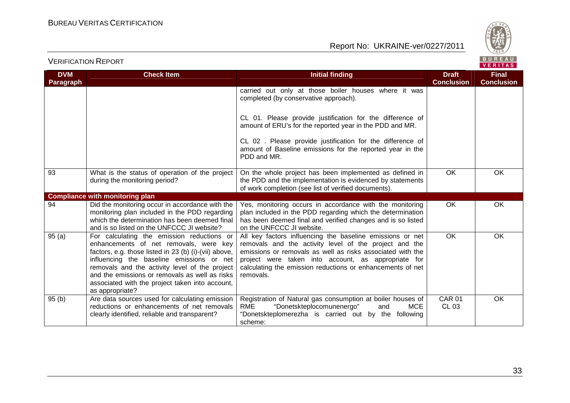

| <b>VERIFICATION REPORT</b>     |                                                                                                                                                                                                                                                                                                                                                                      |                                                                                                                                                                                                                                                                                                                     |                                   | BUREAU<br><b>VERITAS</b>          |
|--------------------------------|----------------------------------------------------------------------------------------------------------------------------------------------------------------------------------------------------------------------------------------------------------------------------------------------------------------------------------------------------------------------|---------------------------------------------------------------------------------------------------------------------------------------------------------------------------------------------------------------------------------------------------------------------------------------------------------------------|-----------------------------------|-----------------------------------|
| <b>DVM</b><br><b>Paragraph</b> | <b>Check Item</b>                                                                                                                                                                                                                                                                                                                                                    | <b>Initial finding</b>                                                                                                                                                                                                                                                                                              | <b>Draft</b><br><b>Conclusion</b> | <b>Final</b><br><b>Conclusion</b> |
|                                |                                                                                                                                                                                                                                                                                                                                                                      | carried out only at those boiler houses where it was<br>completed (by conservative approach).                                                                                                                                                                                                                       |                                   |                                   |
|                                |                                                                                                                                                                                                                                                                                                                                                                      | CL 01. Please provide justification for the difference of<br>amount of ERU's for the reported year in the PDD and MR.                                                                                                                                                                                               |                                   |                                   |
|                                |                                                                                                                                                                                                                                                                                                                                                                      | CL 02. Please provide justification for the difference of<br>amount of Baseline emissions for the reported year in the<br>PDD and MR.                                                                                                                                                                               |                                   |                                   |
| 93                             | What is the status of operation of the project<br>during the monitoring period?                                                                                                                                                                                                                                                                                      | On the whole project has been implemented as defined in<br>the PDD and the implementation is evidenced by statements<br>of work completion (see list of verified documents).                                                                                                                                        | <b>OK</b>                         | OK                                |
|                                | <b>Compliance with monitoring plan</b>                                                                                                                                                                                                                                                                                                                               |                                                                                                                                                                                                                                                                                                                     |                                   |                                   |
| 94                             | Did the monitoring occur in accordance with the<br>monitoring plan included in the PDD regarding<br>which the determination has been deemed final<br>and is so listed on the UNFCCC JI website?                                                                                                                                                                      | Yes, monitoring occurs in accordance with the monitoring<br>plan included in the PDD regarding which the determination<br>has been deemed final and verified changes and is so listed<br>on the UNFCCC JI website.                                                                                                  | OK                                | OK                                |
| 95(a)                          | For calculating the emission reductions or<br>enhancements of net removals, were key<br>factors, e.g. those listed in 23 (b) (i)-(vii) above,<br>influencing the baseline emissions or net<br>removals and the activity level of the project<br>and the emissions or removals as well as risks<br>associated with the project taken into account,<br>as appropriate? | All key factors influencing the baseline emissions or net<br>removals and the activity level of the project and the<br>emissions or removals as well as risks associated with the<br>project were taken into account, as appropriate for<br>calculating the emission reductions or enhancements of net<br>removals. | <b>OK</b>                         | <b>OK</b>                         |
| 95(b)                          | Are data sources used for calculating emission<br>reductions or enhancements of net removals<br>clearly identified, reliable and transparent?                                                                                                                                                                                                                        | Registration of Natural gas consumption at boiler houses of<br><b>RME</b><br>"Donetskteplocomunenergo"<br><b>MCE</b><br>and<br>"Donetskteplomerezha is carried out by the<br>following<br>scheme:                                                                                                                   | <b>CAR 01</b><br><b>CL 03</b>     | OK                                |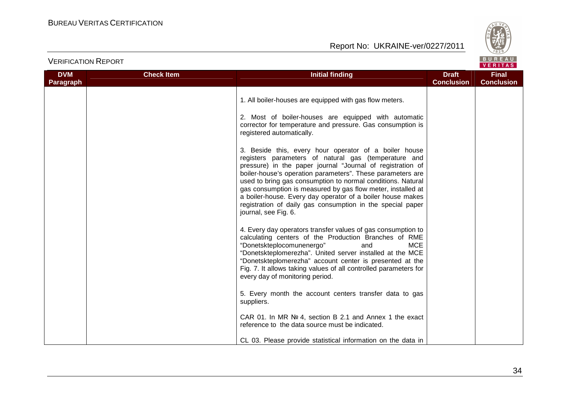

|                         |                   |                                                                                                                                                                                                                                                                                                                                                                                                                                                                                                                             |                                   | <b>VERITAS</b>                    |
|-------------------------|-------------------|-----------------------------------------------------------------------------------------------------------------------------------------------------------------------------------------------------------------------------------------------------------------------------------------------------------------------------------------------------------------------------------------------------------------------------------------------------------------------------------------------------------------------------|-----------------------------------|-----------------------------------|
| <b>DVM</b><br>Paragraph | <b>Check Item</b> | <b>Initial finding</b>                                                                                                                                                                                                                                                                                                                                                                                                                                                                                                      | <b>Draft</b><br><b>Conclusion</b> | <b>Final</b><br><b>Conclusion</b> |
|                         |                   | 1. All boiler-houses are equipped with gas flow meters.                                                                                                                                                                                                                                                                                                                                                                                                                                                                     |                                   |                                   |
|                         |                   | 2. Most of boiler-houses are equipped with automatic<br>corrector for temperature and pressure. Gas consumption is<br>registered automatically.                                                                                                                                                                                                                                                                                                                                                                             |                                   |                                   |
|                         |                   | 3. Beside this, every hour operator of a boiler house<br>registers parameters of natural gas (temperature and<br>pressure) in the paper journal "Journal of registration of<br>boiler-house's operation parameters". These parameters are<br>used to bring gas consumption to normal conditions. Natural<br>gas consumption is measured by gas flow meter, installed at<br>a boiler-house. Every day operator of a boiler house makes<br>registration of daily gas consumption in the special paper<br>journal, see Fig. 6. |                                   |                                   |
|                         |                   | 4. Every day operators transfer values of gas consumption to<br>calculating centers of the Production Branches of RME<br>"Donetskteplocomunenergo"<br><b>MCE</b><br>and<br>"Donetskteplomerezha". United server installed at the MCE<br>"Donetskteplomerezha" account center is presented at the<br>Fig. 7. It allows taking values of all controlled parameters for<br>every day of monitoring period.                                                                                                                     |                                   |                                   |
|                         |                   | 5. Every month the account centers transfer data to gas<br>suppliers.                                                                                                                                                                                                                                                                                                                                                                                                                                                       |                                   |                                   |
|                         |                   | CAR 01. In MR $N2$ 4, section B 2.1 and Annex 1 the exact<br>reference to the data source must be indicated.                                                                                                                                                                                                                                                                                                                                                                                                                |                                   |                                   |
|                         |                   | CL 03. Please provide statistical information on the data in                                                                                                                                                                                                                                                                                                                                                                                                                                                                |                                   |                                   |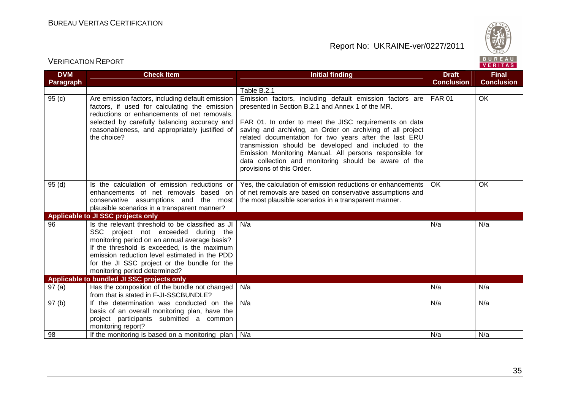

| <b>DVM</b>  | <b>Check Item</b>                                                                                                                                                                                                                                                                                                          | <b>Initial finding</b>                                                                                                                                                                                                                                                                                                                                                                                                                                                                                   | <b>Draft</b>      | <b>Final</b>      |
|-------------|----------------------------------------------------------------------------------------------------------------------------------------------------------------------------------------------------------------------------------------------------------------------------------------------------------------------------|----------------------------------------------------------------------------------------------------------------------------------------------------------------------------------------------------------------------------------------------------------------------------------------------------------------------------------------------------------------------------------------------------------------------------------------------------------------------------------------------------------|-------------------|-------------------|
| Paragraph   |                                                                                                                                                                                                                                                                                                                            |                                                                                                                                                                                                                                                                                                                                                                                                                                                                                                          | <b>Conclusion</b> | <b>Conclusion</b> |
|             |                                                                                                                                                                                                                                                                                                                            | Table B.2.1                                                                                                                                                                                                                                                                                                                                                                                                                                                                                              |                   |                   |
| 95(c)       | Are emission factors, including default emission<br>factors, if used for calculating the emission<br>reductions or enhancements of net removals,<br>selected by carefully balancing accuracy and<br>reasonableness, and appropriately justified of<br>the choice?                                                          | Emission factors, including default emission factors are<br>presented in Section B.2.1 and Annex 1 of the MR.<br>FAR 01. In order to meet the JISC requirements on data<br>saving and archiving, an Order on archiving of all project<br>related documentation for two years after the last ERU<br>transmission should be developed and included to the<br>Emission Monitoring Manual. All persons responsible for<br>data collection and monitoring should be aware of the<br>provisions of this Order. | <b>FAR 01</b>     | OK                |
| 95(d)       | Is the calculation of emission reductions or<br>enhancements of net removals based on<br>conservative assumptions and the most<br>plausible scenarios in a transparent manner?                                                                                                                                             | Yes, the calculation of emission reductions or enhancements<br>of net removals are based on conservative assumptions and<br>the most plausible scenarios in a transparent manner.                                                                                                                                                                                                                                                                                                                        | OK.               | OK.               |
|             | <b>Applicable to JI SSC projects only</b>                                                                                                                                                                                                                                                                                  |                                                                                                                                                                                                                                                                                                                                                                                                                                                                                                          |                   |                   |
| 96          | Is the relevant threshold to be classified as JI<br>SSC project not exceeded during the<br>monitoring period on an annual average basis?<br>If the threshold is exceeded, is the maximum<br>emission reduction level estimated in the PDD<br>for the JI SSC project or the bundle for the<br>monitoring period determined? | N/a                                                                                                                                                                                                                                                                                                                                                                                                                                                                                                      | N/a               | N/a               |
|             | Applicable to bundled JI SSC projects only                                                                                                                                                                                                                                                                                 |                                                                                                                                                                                                                                                                                                                                                                                                                                                                                                          |                   |                   |
| 97(a)       | Has the composition of the bundle not changed<br>from that is stated in F-JI-SSCBUNDLE?                                                                                                                                                                                                                                    | N/a                                                                                                                                                                                                                                                                                                                                                                                                                                                                                                      | N/a               | N/a               |
| 97(b)<br>98 | If the determination was conducted on the<br>basis of an overall monitoring plan, have the<br>project participants submitted a common<br>monitoring report?                                                                                                                                                                | N/a<br>N/a                                                                                                                                                                                                                                                                                                                                                                                                                                                                                               | N/a<br>N/a        | N/a<br>N/a        |
|             | If the monitoring is based on a monitoring plan                                                                                                                                                                                                                                                                            |                                                                                                                                                                                                                                                                                                                                                                                                                                                                                                          |                   |                   |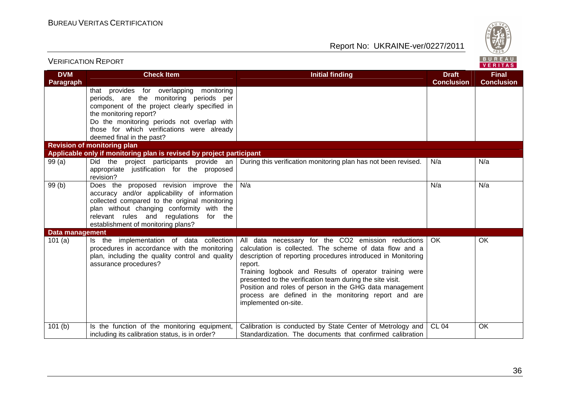

|                         |                                                                                                                                                                                                                                                                                         |                                                                                                                                                                                                                                                                                                                                                                                                                                                            | VERIIAS                           |                                   |
|-------------------------|-----------------------------------------------------------------------------------------------------------------------------------------------------------------------------------------------------------------------------------------------------------------------------------------|------------------------------------------------------------------------------------------------------------------------------------------------------------------------------------------------------------------------------------------------------------------------------------------------------------------------------------------------------------------------------------------------------------------------------------------------------------|-----------------------------------|-----------------------------------|
| <b>DVM</b><br>Paragraph | <b>Check Item</b>                                                                                                                                                                                                                                                                       | <b>Initial finding</b>                                                                                                                                                                                                                                                                                                                                                                                                                                     | <b>Draft</b><br><b>Conclusion</b> | <b>Final</b><br><b>Conclusion</b> |
|                         | that provides for overlapping monitoring<br>periods, are the monitoring periods per<br>component of the project clearly specified in<br>the monitoring report?<br>Do the monitoring periods not overlap with<br>those for which verifications were already<br>deemed final in the past? |                                                                                                                                                                                                                                                                                                                                                                                                                                                            |                                   |                                   |
|                         | <b>Revision of monitoring plan</b>                                                                                                                                                                                                                                                      |                                                                                                                                                                                                                                                                                                                                                                                                                                                            |                                   |                                   |
|                         | Applicable only if monitoring plan is revised by project participant                                                                                                                                                                                                                    |                                                                                                                                                                                                                                                                                                                                                                                                                                                            |                                   |                                   |
| 99(a)                   | Did the project participants provide an<br>appropriate justification for the proposed<br>revision?                                                                                                                                                                                      | During this verification monitoring plan has not been revised.                                                                                                                                                                                                                                                                                                                                                                                             | N/a                               | N/a                               |
| 99(b)                   | Does the proposed revision improve the<br>accuracy and/or applicability of information<br>collected compared to the original monitoring<br>plan without changing conformity with the<br>relevant rules and regulations<br>for the<br>establishment of monitoring plans?                 | N/a                                                                                                                                                                                                                                                                                                                                                                                                                                                        | N/a                               | N/a                               |
| Data management         |                                                                                                                                                                                                                                                                                         |                                                                                                                                                                                                                                                                                                                                                                                                                                                            |                                   |                                   |
| 101(a)                  | Is the implementation of data collection<br>procedures in accordance with the monitoring<br>plan, including the quality control and quality<br>assurance procedures?                                                                                                                    | All data necessary for the CO2 emission reductions<br>calculation is collected. The scheme of data flow and a<br>description of reporting procedures introduced in Monitoring<br>report.<br>Training logbook and Results of operator training were<br>presented to the verification team during the site visit.<br>Position and roles of person in the GHG data management<br>process are defined in the monitoring report and are<br>implemented on-site. | OK.                               | OK.                               |
| 101(b)                  | Is the function of the monitoring equipment,                                                                                                                                                                                                                                            | Calibration is conducted by State Center of Metrology and   CL 04                                                                                                                                                                                                                                                                                                                                                                                          |                                   | OK                                |
|                         | including its calibration status, is in order?                                                                                                                                                                                                                                          | Standardization. The documents that confirmed calibration                                                                                                                                                                                                                                                                                                                                                                                                  |                                   |                                   |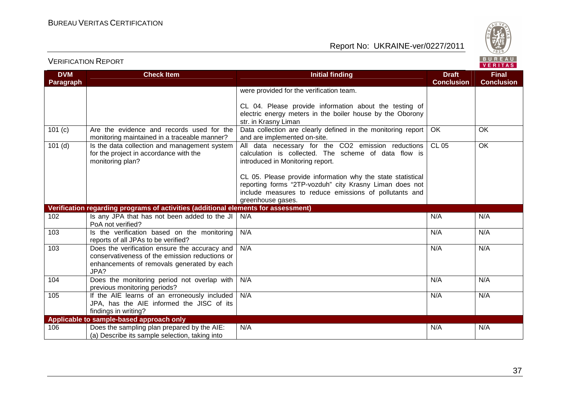

| <b>DVM</b> | <b>Check Item</b>                                                                  | <b>Initial finding</b>                                       | <b>Draft</b>      | <b>Final</b>      |
|------------|------------------------------------------------------------------------------------|--------------------------------------------------------------|-------------------|-------------------|
| Paragraph  |                                                                                    |                                                              | <b>Conclusion</b> | <b>Conclusion</b> |
|            |                                                                                    | were provided for the verification team.                     |                   |                   |
|            |                                                                                    |                                                              |                   |                   |
|            |                                                                                    | CL 04. Please provide information about the testing of       |                   |                   |
|            |                                                                                    | electric energy meters in the boiler house by the Oborony    |                   |                   |
|            |                                                                                    | str. in Krasny Liman                                         |                   |                   |
| 101(c)     | Are the evidence and records used for the                                          | Data collection are clearly defined in the monitoring report | OK.               | <b>OK</b>         |
|            | monitoring maintained in a traceable manner?                                       | and are implemented on-site.                                 |                   |                   |
| $101$ (d)  | Is the data collection and management system                                       | All data necessary for the CO2 emission reductions           | CL05              | $\overline{OK}$   |
|            | for the project in accordance with the                                             | calculation is collected. The scheme of data flow is         |                   |                   |
|            | monitoring plan?                                                                   | introduced in Monitoring report.                             |                   |                   |
|            |                                                                                    | CL 05. Please provide information why the state statistical  |                   |                   |
|            |                                                                                    | reporting forms "2TP-vozduh" city Krasny Liman does not      |                   |                   |
|            |                                                                                    | include measures to reduce emissions of pollutants and       |                   |                   |
|            |                                                                                    | greenhouse gases.                                            |                   |                   |
|            | Verification regarding programs of activities (additional elements for assessment) |                                                              |                   |                   |
| 102        | Is any JPA that has not been added to the JI                                       | N/A                                                          | N/A               | N/A               |
|            | PoA not verified?                                                                  |                                                              |                   |                   |
| 103        | Is the verification based on the monitoring                                        | N/A                                                          | N/A               | N/A               |
|            | reports of all JPAs to be verified?                                                |                                                              |                   |                   |
| 103        | Does the verification ensure the accuracy and                                      | N/A                                                          | N/A               | N/A               |
|            | conservativeness of the emission reductions or                                     |                                                              |                   |                   |
|            | enhancements of removals generated by each                                         |                                                              |                   |                   |
|            | JPA?                                                                               |                                                              |                   |                   |
| 104        | Does the monitoring period not overlap with                                        | N/A                                                          | N/A               | N/A               |
|            | previous monitoring periods?                                                       |                                                              |                   |                   |
| 105        | If the AIE learns of an erroneously included                                       | N/A                                                          | N/A               | N/A               |
|            | JPA, has the AIE informed the JISC of its                                          |                                                              |                   |                   |
|            | findings in writing?                                                               |                                                              |                   |                   |
|            | Applicable to sample-based approach only                                           |                                                              |                   |                   |
| 106        | Does the sampling plan prepared by the AIE:                                        | N/A                                                          | N/A               | N/A               |
|            | (a) Describe its sample selection, taking into                                     |                                                              |                   |                   |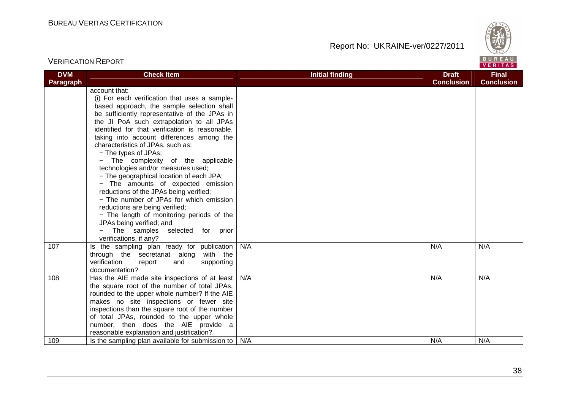VERIFICATION REPORT

Report No: UKRAINE-ver/0227/2011



#### **VERITAS DVM Check Item Draft Check Item Initial finding Check Item Draft Final Paragraph Conclusion Conclusion** account that: (i) For each verification that uses a samplebased approach, the sample selection shall be sufficiently representative of the JPAs in the JI PoA such extrapolation to all JPAs identified for that verification is reasonable, taking into account differences among the characteristics of JPAs, such as: − The types of JPAs; − The complexity of the applicable technologies and/or measures used; − The geographical location of each JPA; − The amounts of expected emission reductions of the JPAs being verified; − The number of JPAs for which emission reductions are being verified; − The length of monitoring periods of the JPAs being verified; and − The samples selected for prior verifications, if any? 107 | Is the sampling plan ready for publication N/A N/A N/A through the secretariat along with the verification report and supporting documentation? 108 | Has the AIE made site inspections of at least N/A N/A N/A the square root of the number of total JPAs, rounded to the upper whole number? If the AIE makes no site inspections or fewer site inspections than the square root of the number of total JPAs, rounded to the upper whole number, then does the AIE provide a reasonable explanation and justification? 109 | Is the sampling plan available for submission to | N/A  $\vert$  N/A  $\vert$  N/A  $\vert$  N/A  $\vert$  N/A  $\vert$  N/A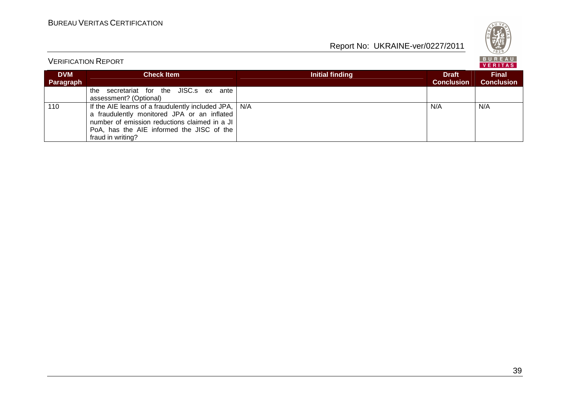

VERIFICATION REPORT

|                                | VERIFICATION REPORT                                                                                                                                                                                                             |                 |                                   | VERITAS                           |
|--------------------------------|---------------------------------------------------------------------------------------------------------------------------------------------------------------------------------------------------------------------------------|-----------------|-----------------------------------|-----------------------------------|
| <b>DVM</b><br><b>Paragraph</b> | <b>Check Item</b>                                                                                                                                                                                                               | Initial finding | <b>Draft</b><br><b>Conclusion</b> | <b>Final</b><br><b>Conclusion</b> |
|                                | secretariat for the JISC.s ex ante<br>the<br>assessment? (Optional)                                                                                                                                                             |                 |                                   |                                   |
| 110                            | If the AIE learns of a fraudulently included JPA, $\vert$ N/A<br>a fraudulently monitored JPA or an inflated<br>number of emission reductions claimed in a JI<br>PoA, has the AIE informed the JISC of the<br>fraud in writing? |                 | N/A                               | N/A                               |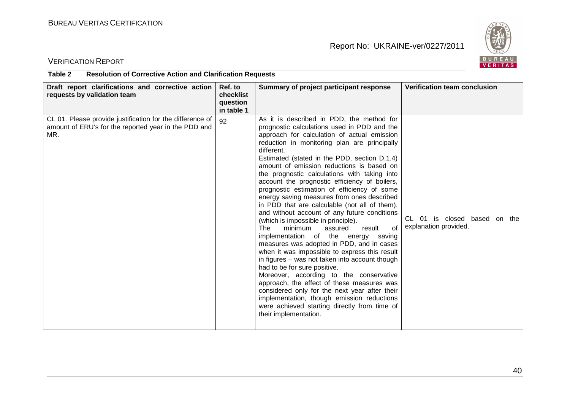

# VERIFICATION REPORT

#### **Table 2 Resolution of Corrective Action and Clarification Requests**

| Draft report clarifications and corrective action<br>requests by validation team                                         | Ref. to<br>checklist<br>question<br>in table 1 | Summary of project participant response                                                                                                                                                                                                                                                                                                                                                                                                                                                                                                                                                                                                                                                                                                                                                                                                                                                                                                                                                                                                                                                                                                                                              | <b>Verification team conclusion</b>                   |
|--------------------------------------------------------------------------------------------------------------------------|------------------------------------------------|--------------------------------------------------------------------------------------------------------------------------------------------------------------------------------------------------------------------------------------------------------------------------------------------------------------------------------------------------------------------------------------------------------------------------------------------------------------------------------------------------------------------------------------------------------------------------------------------------------------------------------------------------------------------------------------------------------------------------------------------------------------------------------------------------------------------------------------------------------------------------------------------------------------------------------------------------------------------------------------------------------------------------------------------------------------------------------------------------------------------------------------------------------------------------------------|-------------------------------------------------------|
| CL 01. Please provide justification for the difference of<br>amount of ERU's for the reported year in the PDD and<br>MR. | 92                                             | As it is described in PDD, the method for<br>prognostic calculations used in PDD and the<br>approach for calculation of actual emission<br>reduction in monitoring plan are principally<br>different.<br>Estimated (stated in the PDD, section D.1.4)<br>amount of emission reductions is based on<br>the prognostic calculations with taking into<br>account the prognostic efficiency of boilers,<br>prognostic estimation of efficiency of some<br>energy saving measures from ones described<br>in PDD that are calculable (not all of them),<br>and without account of any future conditions<br>(which is impossible in principle).<br>minimum<br><b>The</b><br>assured<br>result<br>0f<br>implementation of the energy saving<br>measures was adopted in PDD, and in cases<br>when it was impossible to express this result<br>in figures – was not taken into account though<br>had to be for sure positive.<br>Moreover, according to the conservative<br>approach, the effect of these measures was<br>considered only for the next year after their<br>implementation, though emission reductions<br>were achieved starting directly from time of<br>their implementation. | CL 01 is closed based on the<br>explanation provided. |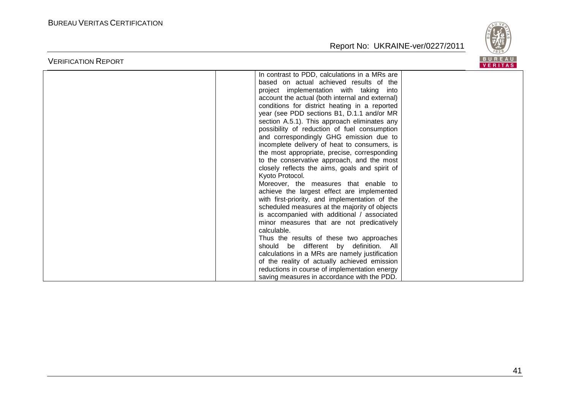

|                            |                                                                                                                                                                                                                                                                                                                                                                                                                                                                                                                                                                                                                                                                                                                                                                                                                                                                                                                                                                                                      | VERITAS       |
|----------------------------|------------------------------------------------------------------------------------------------------------------------------------------------------------------------------------------------------------------------------------------------------------------------------------------------------------------------------------------------------------------------------------------------------------------------------------------------------------------------------------------------------------------------------------------------------------------------------------------------------------------------------------------------------------------------------------------------------------------------------------------------------------------------------------------------------------------------------------------------------------------------------------------------------------------------------------------------------------------------------------------------------|---------------|
| <b>VERIFICATION REPORT</b> | In contrast to PDD, calculations in a MRs are<br>based on actual achieved results of the<br>project implementation with taking into<br>account the actual (both internal and external)<br>conditions for district heating in a reported<br>year (see PDD sections B1, D.1.1 and/or MR<br>section A.5.1). This approach eliminates any<br>possibility of reduction of fuel consumption<br>and correspondingly GHG emission due to<br>incomplete delivery of heat to consumers, is<br>the most appropriate, precise, corresponding<br>to the conservative approach, and the most<br>closely reflects the aims, goals and spirit of<br>Kyoto Protocol.<br>Moreover, the measures that enable to<br>achieve the largest effect are implemented<br>with first-priority, and implementation of the<br>scheduled measures at the majority of objects<br>is accompanied with additional / associated<br>minor measures that are not predicatively<br>calculable.<br>Thus the results of these two approaches | <b>BUREAU</b> |
|                            | should be different by definition. All<br>calculations in a MRs are namely justification<br>of the reality of actually achieved emission                                                                                                                                                                                                                                                                                                                                                                                                                                                                                                                                                                                                                                                                                                                                                                                                                                                             |               |
|                            | reductions in course of implementation energy<br>saving measures in accordance with the PDD.                                                                                                                                                                                                                                                                                                                                                                                                                                                                                                                                                                                                                                                                                                                                                                                                                                                                                                         |               |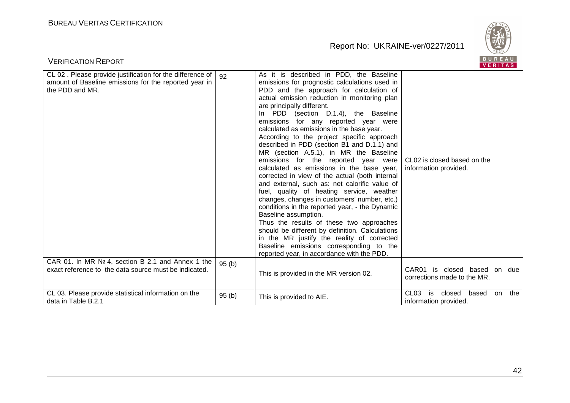

| <b>VERIFICATION REPORT</b>                                                                                                               |        |                                                                                                                                                                                                                                                                                                                                                                                                                                                                                                                                                                                                                                                                                                                                                                                                                                                                                                                                                                                                                                                                                            | BUREAU<br><b>VERITAS</b>                                                        |
|------------------------------------------------------------------------------------------------------------------------------------------|--------|--------------------------------------------------------------------------------------------------------------------------------------------------------------------------------------------------------------------------------------------------------------------------------------------------------------------------------------------------------------------------------------------------------------------------------------------------------------------------------------------------------------------------------------------------------------------------------------------------------------------------------------------------------------------------------------------------------------------------------------------------------------------------------------------------------------------------------------------------------------------------------------------------------------------------------------------------------------------------------------------------------------------------------------------------------------------------------------------|---------------------------------------------------------------------------------|
| CL 02 . Please provide justification for the difference of  <br>amount of Baseline emissions for the reported year in<br>the PDD and MR. | 92     | As it is described in PDD, the Baseline<br>emissions for prognostic calculations used in<br>PDD and the approach for calculation of<br>actual emission reduction in monitoring plan<br>are principally different.<br>In PDD (section D.1.4), the Baseline<br>emissions for any reported year were<br>calculated as emissions in the base year.<br>According to the project specific approach<br>described in PDD (section B1 and D.1.1) and<br>MR (section A.5.1), in MR the Baseline<br>emissions for the reported year were<br>calculated as emissions in the base year,<br>corrected in view of the actual (both internal<br>and external, such as: net calorific value of<br>fuel, quality of heating service, weather<br>changes, changes in customers' number, etc.)<br>conditions in the reported year, - the Dynamic<br>Baseline assumption.<br>Thus the results of these two approaches<br>should be different by definition. Calculations<br>in the MR justify the reality of corrected<br>Baseline emissions corresponding to the<br>reported year, in accordance with the PDD. | CL02 is closed based on the<br>information provided.                            |
| CAR 01. In MR № 4, section B 2.1 and Annex 1 the<br>exact reference to the data source must be indicated.                                | 95(b)  | This is provided in the MR version 02.                                                                                                                                                                                                                                                                                                                                                                                                                                                                                                                                                                                                                                                                                                                                                                                                                                                                                                                                                                                                                                                     | CAR01 is closed based on due<br>corrections made to the MR.                     |
| CL 03. Please provide statistical information on the<br>data in Table B.2.1                                                              | 95 (b) | This is provided to AIE.                                                                                                                                                                                                                                                                                                                                                                                                                                                                                                                                                                                                                                                                                                                                                                                                                                                                                                                                                                                                                                                                   | CL <sub>03</sub><br>the<br>is<br>closed<br>based<br>on<br>information provided. |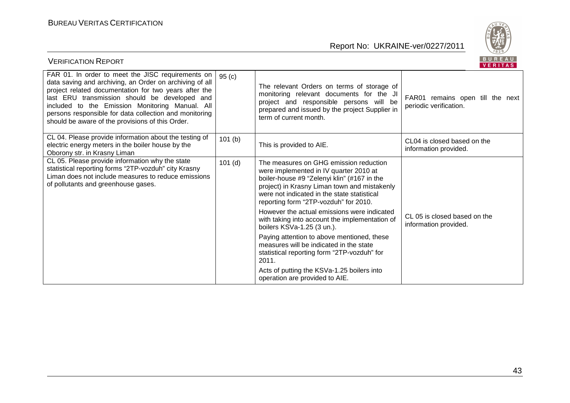

| BUREAU<br><b>VERIFICATION REPORT</b><br>VERITAS                                                                                                                                                                                                                                                                                                                                         |           |                                                                                                                                                                                                                                                                         |                                                            |  |
|-----------------------------------------------------------------------------------------------------------------------------------------------------------------------------------------------------------------------------------------------------------------------------------------------------------------------------------------------------------------------------------------|-----------|-------------------------------------------------------------------------------------------------------------------------------------------------------------------------------------------------------------------------------------------------------------------------|------------------------------------------------------------|--|
| FAR 01. In order to meet the JISC requirements on<br>data saving and archiving, an Order on archiving of all<br>project related documentation for two years after the<br>last ERU transmission should be developed and<br>included to the Emission Monitoring Manual. All<br>persons responsible for data collection and monitoring<br>should be aware of the provisions of this Order. | 95(c)     | The relevant Orders on terms of storage of<br>monitoring relevant documents for the JI<br>project and responsible persons will be<br>prepared and issued by the project Supplier in<br>term of current month.                                                           | FAR01 remains open till the next<br>periodic verification. |  |
| CL 04. Please provide information about the testing of<br>electric energy meters in the boiler house by the<br>Oborony str. in Krasny Liman                                                                                                                                                                                                                                             | 101(b)    | This is provided to AIE.                                                                                                                                                                                                                                                | CL04 is closed based on the<br>information provided.       |  |
| CL 05. Please provide information why the state<br>statistical reporting forms "2TP-vozduh" city Krasny<br>Liman does not include measures to reduce emissions<br>of pollutants and greenhouse gases.                                                                                                                                                                                   | $101$ (d) | The measures on GHG emission reduction<br>were implemented in IV quarter 2010 at<br>boiler-house #9 "Zelenyi klin" (#167 in the<br>project) in Krasny Liman town and mistakenly<br>were not indicated in the state statistical<br>reporting form "2TP-vozduh" for 2010. |                                                            |  |
|                                                                                                                                                                                                                                                                                                                                                                                         |           | However the actual emissions were indicated<br>with taking into account the implementation of<br>boilers KSVa-1.25 (3 un.).                                                                                                                                             | CL 05 is closed based on the<br>information provided.      |  |
|                                                                                                                                                                                                                                                                                                                                                                                         |           | Paying attention to above mentioned, these<br>measures will be indicated in the state<br>statistical reporting form "2TP-vozduh" for<br>2011.                                                                                                                           |                                                            |  |
|                                                                                                                                                                                                                                                                                                                                                                                         |           | Acts of putting the KSVa-1.25 boilers into<br>operation are provided to AIE.                                                                                                                                                                                            |                                                            |  |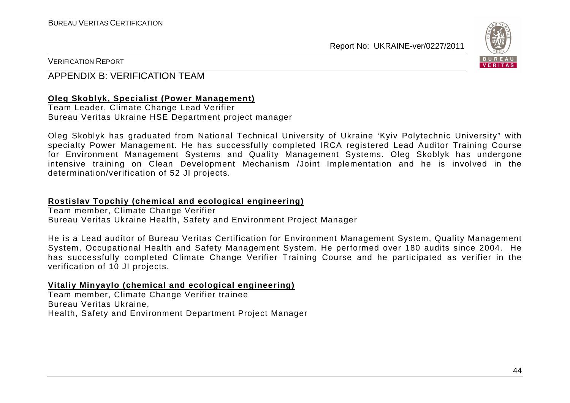

VERIFICATION REPORT

# APPENDIX B: VERIFICATION TEAM

#### **Oleg Skoblyk, Specialist (Power Management)**

Team Leader, Climate Change Lead Verifier Bureau Veritas Ukraine HSE Department project manager

Oleg Skoblyk has graduated from National Technical University of Ukraine 'Kyiv Polytechnic University" with specialty Power Management. He has successfully completed IRCA registered Lead Auditor Training Course for Environment Management Systems and Quality Management Systems. Oleg Skoblyk has undergone intensive training on Clean Development Mechanism /Joint Implementation and he is involved in the determination/verification of 52 JI projects.

#### **Rostislav Topchiy (chemical and ecological engineering)**

Team member, Climate Change Verifier Bureau Veritas Ukraine Health, Safety and Environment Project Manager

He is a Lead auditor of Bureau Veritas Certification for Environment Management System, Quality Management System, Occupational Health and Safety Management System. He performed over 180 audits since 2004. He has successfully completed Climate Change Verifier Training Course and he participated as verifier in the verification of 10 JI projects.

#### **Vitaliy Minyaylo (chemical and ecological engineering)**

Team member, Climate Change Verifier trainee Bureau Veritas Ukraine, Health, Safety and Environment Department Project Manager